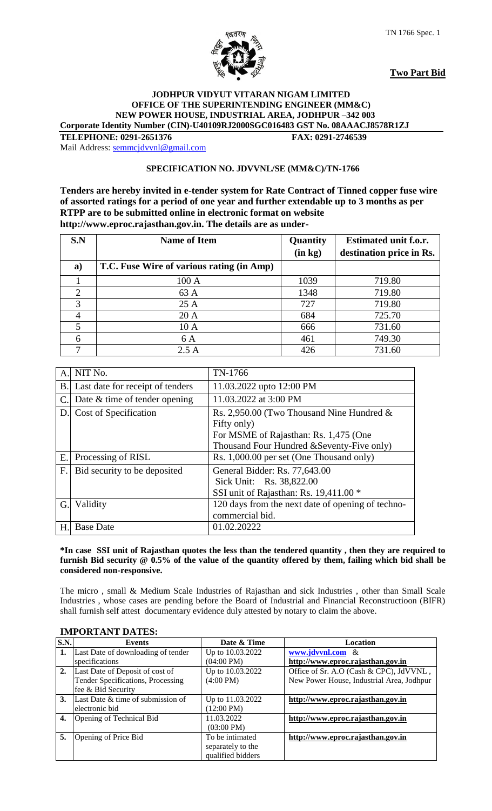

**Two Part Bid**

#### **JODHPUR VIDYUT VITARAN NIGAM LIMITED OFFICE OF THE SUPERINTENDING ENGINEER (MM&C) NEW POWER HOUSE, INDUSTRIAL AREA, JODHPUR –342 003 Corporate Identity Number (CIN)-U40109RJ2000SGC016483 GST No. 08AAACJ8578R1ZJ**

**TELEPHONE: 0291-2651376 FAX: 0291-2746539** Mail Address: [semmcjdvvnl@gmail.com](mailto:semmcjdvvnl@gmail.com)

# **SPECIFICATION NO. JDVVNL/SE (MM&C)/TN-1766**

**Tenders are hereby invited in e-tender system for Rate Contract of Tinned copper fuse wire of assorted ratings for a period of one year and further extendable up to 3 months as per RTPP are to be submitted online in electronic format on website http://www.eproc.rajasthan.gov.in. The details are as under-**

| S.N | <b>Name of Item</b>                       | Quantity | <b>Estimated unit f.o.r.</b> |
|-----|-------------------------------------------|----------|------------------------------|
|     |                                           | (in kg)  | destination price in Rs.     |
| a)  | T.C. Fuse Wire of various rating (in Amp) |          |                              |
|     | 100 A                                     | 1039     | 719.80                       |
|     | 63 A                                      | 1348     | 719.80                       |
| 3   | 25A                                       | 727      | 719.80                       |
|     | 20A                                       | 684      | 725.70                       |
|     | 10A                                       | 666      | 731.60                       |
| 6   | 6 A                                       | 461      | 749.30                       |
|     | 2.5A                                      | 426      | 731.60                       |

| A. | NIT No.                          | TN-1766                                           |
|----|----------------------------------|---------------------------------------------------|
| В. | Last date for receipt of tenders | 11.03.2022 upto 12:00 PM                          |
| C. | Date $&$ time of tender opening  | 11.03.2022 at 3:00 PM                             |
| D. | Cost of Specification            | Rs. 2,950.00 (Two Thousand Nine Hundred $\&$      |
|    |                                  | Fifty only)                                       |
|    |                                  | For MSME of Rajasthan: Rs. 1,475 (One             |
|    |                                  | Thousand Four Hundred & Seventy-Five only)        |
| Ε. | Processing of RISL               | Rs. 1,000.00 per set (One Thousand only)          |
| F. | Bid security to be deposited     | General Bidder: Rs. 77,643.00                     |
|    |                                  | Sick Unit: Rs. 38,822.00                          |
|    |                                  | SSI unit of Rajasthan: Rs. 19,411.00 *            |
| G. | Validity                         | 120 days from the next date of opening of techno- |
|    |                                  | commercial bid.                                   |
| H. | <b>Base Date</b>                 | 01.02.20222                                       |

#### **\*In case SSI unit of Rajasthan quotes the less than the tendered quantity , then they are required to furnish Bid security @ 0.5% of the value of the quantity offered by them, failing which bid shall be considered non-responsive.**

The micro , small & Medium Scale Industries of Rajasthan and sick Industries , other than Small Scale Industries , whose cases are pending before the Board of Industrial and Financial Reconstructioon (BIFR) shall furnish self attest documentary evidence duly attested by notary to claim the above.

| S.N. | <b>Events</b>                      | Date & Time          | <b>Location</b>                           |
|------|------------------------------------|----------------------|-------------------------------------------|
| 1.   | Last Date of downloading of tender | Up to 10.03.2022     | www.jdvvnl.com &                          |
|      | specifications                     | $(04:00 \text{ PM})$ | http://www.eproc.rajasthan.gov.in         |
| 2.   | Last Date of Deposit of cost of    | Up to 10.03.2022     | Office of Sr. A.O (Cash & CPC), JdVVNL,   |
|      | Tender Specifications, Processing  | $(4:00 \text{ PM})$  | New Power House, Industrial Area, Jodhpur |
|      | fee & Bid Security                 |                      |                                           |
| 3.   | Last Date & time of submission of  | Up to 11.03.2022     | http://www.eproc.rajasthan.gov.in         |
|      | electronic bid                     | $(12:00 \text{ PM})$ |                                           |
| 4.   | Opening of Technical Bid           | 11.03.2022           | http://www.eproc.rajasthan.gov.in         |
|      |                                    | $(03:00 \text{ PM})$ |                                           |
| 5.   | Opening of Price Bid               | To be intimated      | http://www.eproc.rajasthan.gov.in         |
|      |                                    | separately to the    |                                           |
|      |                                    | qualified bidders    |                                           |

# **IMPORTANT DATES:**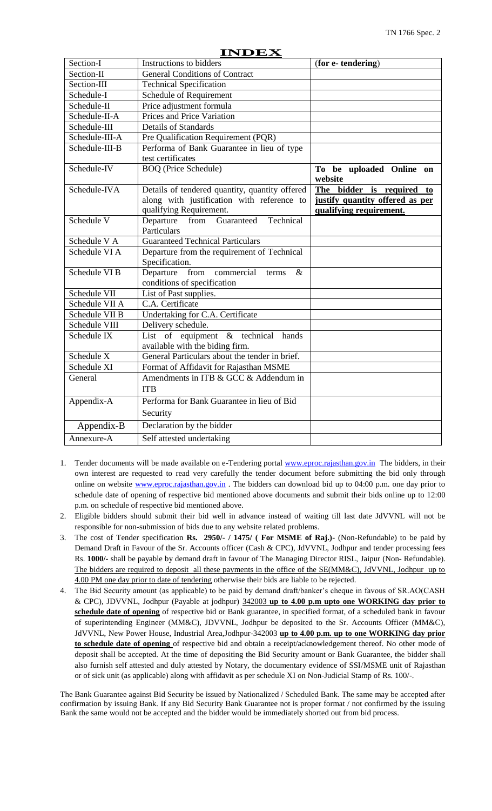|                         | ПУРЕА                                          |                                     |
|-------------------------|------------------------------------------------|-------------------------------------|
| Section-I               | Instructions to bidders                        | (for e-tendering)                   |
| Section-II              | <b>General Conditions of Contract</b>          |                                     |
| Section-III             | <b>Technical Specification</b>                 |                                     |
| Schedule-I              | Schedule of Requirement                        |                                     |
| Schedule-II             | Price adjustment formula                       |                                     |
| Schedule-II-A           | Prices and Price Variation                     |                                     |
| Schedule-III            | <b>Details of Standards</b>                    |                                     |
| Schedule-III-A          | Pre Qualification Requirement (PQR)            |                                     |
| Schedule-III-B          | Performa of Bank Guarantee in lieu of type     |                                     |
|                         | test certificates                              |                                     |
| Schedule-IV             | <b>BOQ</b> (Price Schedule)                    | To be uploaded Online on<br>website |
| Schedule-IVA            | Details of tendered quantity, quantity offered | The bidder is required<br>to        |
|                         | along with justification with reference to     | justify quantity offered as per     |
|                         | qualifying Requirement.                        | qualifying requirement.             |
| Schedule V              | Departure from<br>Guaranteed<br>Technical      |                                     |
|                         | Particulars                                    |                                     |
| Schedule V A            | <b>Guaranteed Technical Particulars</b>        |                                     |
| Schedule VI A           | Departure from the requirement of Technical    |                                     |
|                         | Specification.                                 |                                     |
| Schedule VI B           | Departure from commercial<br>$\&$<br>terms     |                                     |
|                         | conditions of specification                    |                                     |
| Schedule VII            | List of Past supplies.                         |                                     |
| Schedule VII A          | C.A. Certificate                               |                                     |
| Schedule VII B          | Undertaking for C.A. Certificate               |                                     |
| Schedule VIII           | Delivery schedule.                             |                                     |
| Schedule IX             | List of equipment & technical hands            |                                     |
|                         | available with the biding firm.                |                                     |
| Schedule $\overline{X}$ | General Particulars about the tender in brief. |                                     |
| Schedule XI             | Format of Affidavit for Rajasthan MSME         |                                     |
| General                 | Amendments in ITB & GCC & Addendum in          |                                     |
|                         | <b>ITB</b>                                     |                                     |
| Appendix-A              | Performa for Bank Guarantee in lieu of Bid     |                                     |
|                         | Security                                       |                                     |
| Appendix-B              | Declaration by the bidder                      |                                     |
| Annexure-A              | Self attested undertaking                      |                                     |

- 1. Tender documents will be made available on e-Tendering portal [www.eproc.rajasthan.gov.in](http://www.eproc.rajasthan.gov.in/) The bidders, in their own interest are requested to read very carefully the tender document before submitting the bid only through online on website [www.eproc.rajasthan.gov.in](http://www.eproc.rajasthan.gov.in/). The bidders can download bid up to 04:00 p.m. one day prior to schedule date of opening of respective bid mentioned above documents and submit their bids online up to 12:00 p.m. on schedule of respective bid mentioned above.
- 2. Eligible bidders should submit their bid well in advance instead of waiting till last date JdVVNL will not be responsible for non-submission of bids due to any website related problems.
- 3. The cost of Tender specification **Rs. 2950/- / 1475/ ( For MSME of Raj.)-** (Non-Refundable) to be paid by Demand Draft in Favour of the Sr. Accounts officer (Cash & CPC), JdVVNL, Jodhpur and tender processing fees Rs. **1000/-** shall be payable by demand draft in favour of The Managing Director RISL, Jaipur (Non- Refundable). The bidders are required to deposit all these payments in the office of the SE(MM&C), JdVVNL, Jodhpur up to 4.00 PM one day prior to date of tendering otherwise their bids are liable to be rejected.
- 4. The Bid Security amount (as applicable) to be paid by demand draft/banker"s cheque in favous of SR.AO(CASH & CPC), JDVVNL, Jodhpur (Payable at jodhpur) 342003 **up to 4.00 p.m upto one WORKING day prior to schedule date of opening** of respective bid or Bank guarantee, in specified format, of a scheduled bank in favour of superintending Engineer (MM&C), JDVVNL, Jodhpur be deposited to the Sr. Accounts Officer (MM&C), JdVVNL, New Power House, Industrial Area,Jodhpur-342003 **up to 4.00 p.m. up to one WORKING day prior to schedule date of opening** of respective bid and obtain a receipt/acknowledgement thereof. No other mode of deposit shall be accepted. At the time of depositing the Bid Security amount or Bank Guarantee, the bidder shall also furnish self attested and duly attested by Notary, the documentary evidence of SSI/MSME unit of Rajasthan or of sick unit (as applicable) along with affidavit as per schedule XI on Non-Judicial Stamp of Rs. 100/-.

The Bank Guarantee against Bid Security be issued by Nationalized / Scheduled Bank. The same may be accepted after confirmation by issuing Bank. If any Bid Security Bank Guarantee not is proper format / not confirmed by the issuing Bank the same would not be accepted and the bidder would be immediately shorted out from bid process.

#### **INDEX**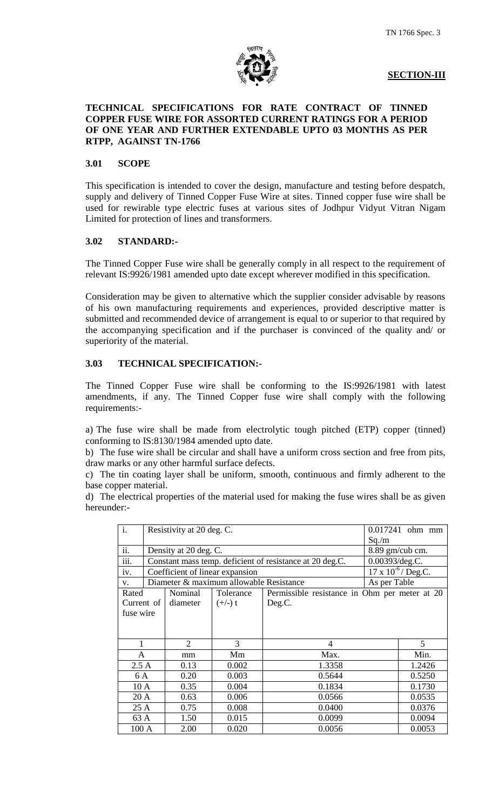

**SECTION-III**

#### **TECHNICAL SPECIFICATIONS FOR RATE CONTRACT OF TINNED COPPER FUSE WIRE FOR ASSORTED CURRENT RATINGS FOR A PERIOD OF ONE YEAR AND FURTHER EXTENDABLE UPTO 03 MONTHS AS PER RTPP, AGAINST TN-1766**

#### **3.01 SCOPE**

This specification is intended to cover the design, manufacture and testing before despatch, supply and delivery of Tinned Copper Fuse Wire at sites. Tinned copper fuse wire shall be used for rewirable type electric fuses at various sites of Jodhpur Vidyut Vitran Nigam Limited for protection of lines and transformers.

#### **3.02 STANDARD:-**

The Tinned Copper Fuse wire shall be generally comply in all respect to the requirement of relevant IS:9926/1981 amended upto date except wherever modified in this specification.

Consideration may be given to alternative which the supplier consider advisable by reasons of his own manufacturing requirements and experiences, provided descriptive matter is submitted and recommended device of arrangement is equal to or superior to that required by the accompanying specification and if the purchaser is convinced of the quality and/ or superiority of the material.

# **3.03 TECHNICAL SPECIFICATION:-**

The Tinned Copper Fuse wire shall be conforming to the IS:9926/1981 with latest amendments, if any. The Tinned Copper fuse wire shall comply with the following requirements:-

a) The fuse wire shall be made from electrolytic tough pitched (ETP) copper (tinned) conforming to IS:8130/1984 amended upto date.

b) The fuse wire shall be circular and shall have a uniform cross section and free from pits, draw marks or any other harmful surface defects.

c) The tin coating layer shall be uniform, smooth, continuous and firmly adherent to the base copper material.

d) The electrical properties of the material used for making the fuse wires shall be as given hereunder:-

| $\mathbf{i}$ . |                    | Resistivity at 20 deg. C. |                                         | 0.017241 ohm mm                                          |                              |
|----------------|--------------------|---------------------------|-----------------------------------------|----------------------------------------------------------|------------------------------|
|                |                    |                           |                                         |                                                          | Sq/m                         |
| ii.            |                    | Density at 20 deg. C.     |                                         |                                                          | 8.89 gm/cub cm.              |
| iii.           |                    |                           |                                         | Constant mass temp. deficient of resistance at 20 deg.C. | 0.00393/deg.C.               |
| iv.            |                    |                           | Coefficient of linear expansion         |                                                          | $17 \times 10^{-6}$ / Deg.C. |
| V.             |                    |                           | Diameter & maximum allowable Resistance |                                                          | As per Table                 |
| Rated          |                    | Nominal                   | Tolerance                               | Permissible resistance in Ohm per meter at 20            |                              |
|                | Current of $\vert$ | diameter                  | $(+/-)$ t                               | Deg.C.                                                   |                              |
|                | fuse wire          |                           |                                         |                                                          |                              |
|                |                    |                           |                                         |                                                          |                              |
|                |                    |                           |                                         |                                                          |                              |
| 1              |                    | $\overline{2}$            | 3                                       | 4                                                        | 5                            |
| A              |                    | mm                        | Mm                                      | Max.                                                     | Min.                         |
| 2.5A           |                    | 0.13                      | 0.002                                   | 1.3358                                                   | 1.2426                       |
| 6 A<br>0.20    |                    |                           | 0.003                                   | 0.5644                                                   | 0.5250                       |
| 10A            |                    | 0.35                      | 0.004                                   | 0.1834                                                   | 0.1730                       |
| 20 A           |                    | 0.63                      | 0.006                                   | 0.0566                                                   | 0.0535                       |
| 25 A           |                    | 0.75                      | 0.008                                   | 0.0400                                                   | 0.0376                       |
| 63 A           |                    | 1.50                      | 0.015                                   | 0.0099                                                   | 0.0094                       |
| 100 A          |                    | 2.00                      | 0.020                                   | 0.0056                                                   | 0.0053                       |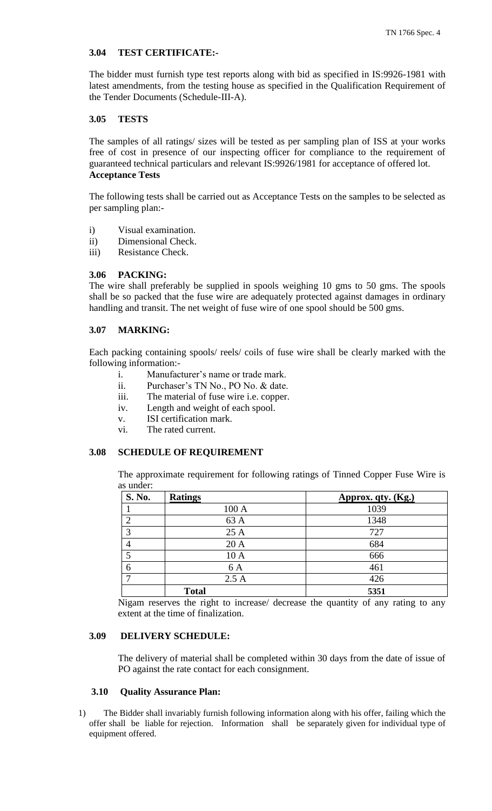#### **3.04 TEST CERTIFICATE:-**

The bidder must furnish type test reports along with bid as specified in IS:9926-1981 with latest amendments, from the testing house as specified in the Qualification Requirement of the Tender Documents (Schedule-III-A).

#### **3.05 TESTS**

The samples of all ratings/ sizes will be tested as per sampling plan of ISS at your works free of cost in presence of our inspecting officer for compliance to the requirement of guaranteed technical particulars and relevant IS:9926/1981 for acceptance of offered lot. **Acceptance Tests** 

The following tests shall be carried out as Acceptance Tests on the samples to be selected as per sampling plan:-

- i) Visual examination.
- ii) Dimensional Check.
- iii) Resistance Check.

# **3.06 PACKING:**

The wire shall preferably be supplied in spools weighing 10 gms to 50 gms. The spools shall be so packed that the fuse wire are adequately protected against damages in ordinary handling and transit. The net weight of fuse wire of one spool should be 500 gms.

#### **3.07 MARKING:**

Each packing containing spools/ reels/ coils of fuse wire shall be clearly marked with the following information:-

- i. Manufacturer's name or trade mark.
- ii. Purchaser"s TN No., PO No. & date.
- iii. The material of fuse wire i.e. copper.
- iv. Length and weight of each spool.
- v. ISI certification mark.
- vi. The rated current.

#### **3.08 SCHEDULE OF REQUIREMENT**

The approximate requirement for following ratings of Tinned Copper Fuse Wire is as under:

| <b>S. No.</b> | <b>Ratings</b> | Approx. qty. (Kg.) |
|---------------|----------------|--------------------|
|               | 100 A          | 1039               |
|               | 63 A           | 1348               |
| 3             | 25 A           | 727                |
|               | 20 A           | 684                |
|               | 10A            | 666                |
| 6             | 6 A            | 461                |
|               | 2.5A           | 426                |
|               | <b>Total</b>   | 5351               |

Nigam reserves the right to increase/ decrease the quantity of any rating to any extent at the time of finalization.

#### **3.09 DELIVERY SCHEDULE:**

The delivery of material shall be completed within 30 days from the date of issue of PO against the rate contact for each consignment.

#### **3.10 Quality Assurance Plan:**

1) The Bidder shall invariably furnish following information along with his offer, failing which the offer shall be liable for rejection. Information shall be separately given for individual type of equipment offered.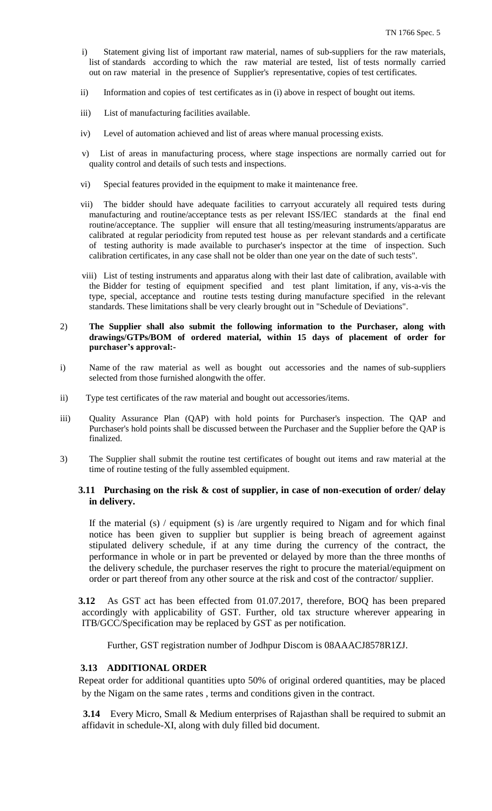- i) Statement giving list of important raw material, names of sub-suppliers for the raw materials, list of standards according to which the raw material are tested, list of tests normally carried out on raw material in the presence of Supplier's representative, copies of test certificates.
- ii) Information and copies of test certificates as in (i) above in respect of bought out items.
- iii) List of manufacturing facilities available.
- iv) Level of automation achieved and list of areas where manual processing exists.
- v) List of areas in manufacturing process, where stage inspections are normally carried out for quality control and details of such tests and inspections.
- vi) Special features provided in the equipment to make it maintenance free.
- vii) The bidder should have adequate facilities to carryout accurately all required tests during manufacturing and routine/acceptance tests as per relevant ISS/IEC standards at the final end routine/acceptance. The supplier will ensure that all testing/measuring instruments/apparatus are calibrated at regular periodicity from reputed test house as per relevant standards and a certificate of testing authority is made available to purchaser's inspector at the time of inspection. Such calibration certificates, in any case shall not be older than one year on the date of such tests".
- viii) List of testing instruments and apparatus along with their last date of calibration, available with the Bidder for testing of equipment specified and test plant limitation, if any, vis-a-vis the type, special, acceptance and routine tests testing during manufacture specified in the relevant standards. These limitations shall be very clearly brought out in "Schedule of Deviations".
- 2) **The Supplier shall also submit the following information to the Purchaser, along with drawings/GTPs/BOM of ordered material, within 15 days of placement of order for purchaser's approval:-**
- i) Name of the raw material as well as bought out accessories and the names of sub-suppliers selected from those furnished alongwith the offer.
- ii) Type test certificates of the raw material and bought out accessories/items.
- iii) Quality Assurance Plan (QAP) with hold points for Purchaser's inspection. The QAP and Purchaser's hold points shall be discussed between the Purchaser and the Supplier before the QAP is finalized.
- 3) The Supplier shall submit the routine test certificates of bought out items and raw material at the time of routine testing of the fully assembled equipment.

#### **3.11 Purchasing on the risk & cost of supplier, in case of non-execution of order/ delay in delivery.**

If the material (s) / equipment (s) is /are urgently required to Nigam and for which final notice has been given to supplier but supplier is being breach of agreement against stipulated delivery schedule, if at any time during the currency of the contract, the performance in whole or in part be prevented or delayed by more than the three months of the delivery schedule, the purchaser reserves the right to procure the material/equipment on order or part thereof from any other source at the risk and cost of the contractor/ supplier.

**3.12** As GST act has been effected from 01.07.2017, therefore, BOQ has been prepared accordingly with applicability of GST. Further, old tax structure wherever appearing in ITB/GCC/Specification may be replaced by GST as per notification.

Further, GST registration number of Jodhpur Discom is 08AAACJ8578R1ZJ.

## **3.13 ADDITIONAL ORDER**

Repeat order for additional quantities upto 50% of original ordered quantities, may be placed by the Nigam on the same rates , terms and conditions given in the contract.

 **3.14** Every Micro, Small & Medium enterprises of Rajasthan shall be required to submit an affidavit in schedule-XI, along with duly filled bid document.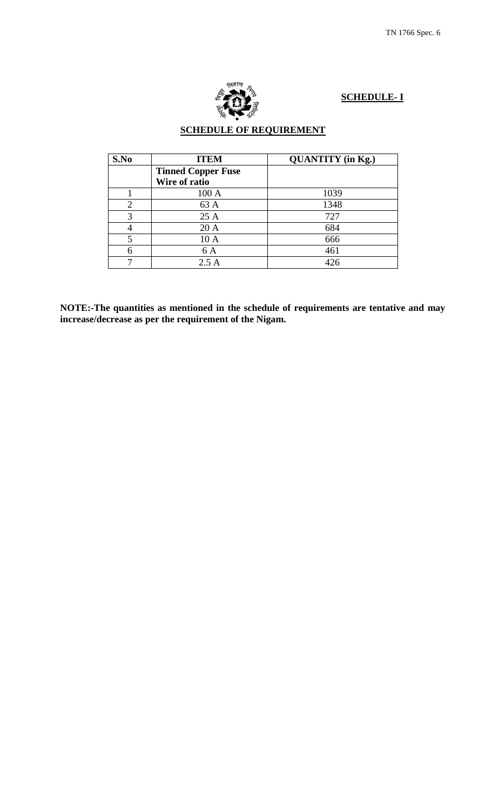

# **SCHEDULE- I**

# **SCHEDULE OF REQUIREMENT**

| S.No           | <b>ITEM</b>               | <b>QUANTITY</b> (in Kg.) |
|----------------|---------------------------|--------------------------|
|                | <b>Tinned Copper Fuse</b> |                          |
|                | Wire of ratio             |                          |
|                | 100A                      | 1039                     |
| $\overline{2}$ | 63 A                      | 1348                     |
| 3              | 25 A                      | 727                      |
|                | 20 A                      | 684                      |
| 5              | 10 A                      | 666                      |
|                | 6 A                       | 461                      |
|                | 2.5A                      | 426                      |

**NOTE:-The quantities as mentioned in the schedule of requirements are tentative and may increase/decrease as per the requirement of the Nigam.**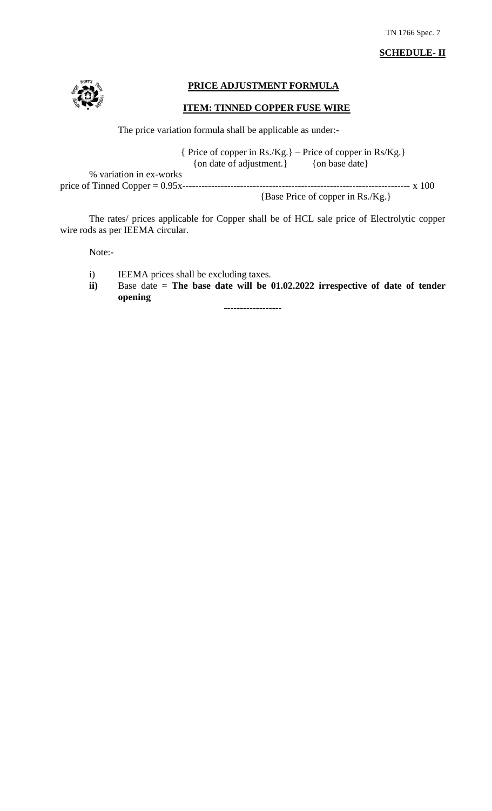# **SCHEDULE- II**



## **PRICE ADJUSTMENT FORMULA**

#### **ITEM: TINNED COPPER FUSE WIRE**

The price variation formula shall be applicable as under:-

 { Price of copper in Rs./Kg.} – Price of copper in Rs/Kg.} {on date of adjustment.} (on base date}

% variation in ex-works

price of Tinned Copper = 0.95x----------------------------------------------------------------------- x 100

{Base Price of copper in Rs./Kg.}

The rates/ prices applicable for Copper shall be of HCL sale price of Electrolytic copper wire rods as per IEEMA circular.

Note:-

- i) IEEMA prices shall be excluding taxes.
- **ii)** Base date = **The base date will be 01.02.2022 irrespective of date of tender opening**

**------------------**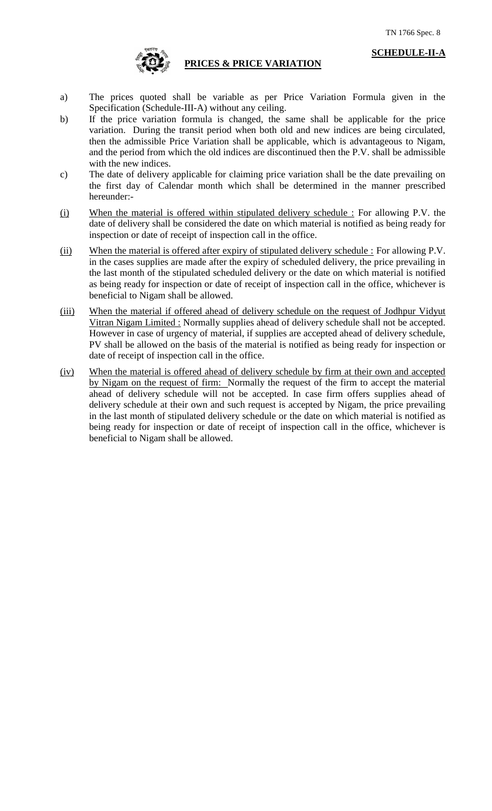

#### **PRICES & PRICE VARIATION**

- a) The prices quoted shall be variable as per Price Variation Formula given in the Specification (Schedule-III-A) without any ceiling.
- b) If the price variation formula is changed, the same shall be applicable for the price variation. During the transit period when both old and new indices are being circulated, then the admissible Price Variation shall be applicable, which is advantageous to Nigam, and the period from which the old indices are discontinued then the P.V. shall be admissible with the new indices.
- c) The date of delivery applicable for claiming price variation shall be the date prevailing on the first day of Calendar month which shall be determined in the manner prescribed hereunder:-
- (i) When the material is offered within stipulated delivery schedule : For allowing P.V. the date of delivery shall be considered the date on which material is notified as being ready for inspection or date of receipt of inspection call in the office.
- (ii) When the material is offered after expiry of stipulated delivery schedule : For allowing P.V. in the cases supplies are made after the expiry of scheduled delivery, the price prevailing in the last month of the stipulated scheduled delivery or the date on which material is notified as being ready for inspection or date of receipt of inspection call in the office, whichever is beneficial to Nigam shall be allowed.
- (iii) When the material if offered ahead of delivery schedule on the request of Jodhpur Vidyut Vitran Nigam Limited : Normally supplies ahead of delivery schedule shall not be accepted. However in case of urgency of material, if supplies are accepted ahead of delivery schedule, PV shall be allowed on the basis of the material is notified as being ready for inspection or date of receipt of inspection call in the office.
- (iv) When the material is offered ahead of delivery schedule by firm at their own and accepted by Nigam on the request of firm: Normally the request of the firm to accept the material ahead of delivery schedule will not be accepted. In case firm offers supplies ahead of delivery schedule at their own and such request is accepted by Nigam, the price prevailing in the last month of stipulated delivery schedule or the date on which material is notified as being ready for inspection or date of receipt of inspection call in the office, whichever is beneficial to Nigam shall be allowed.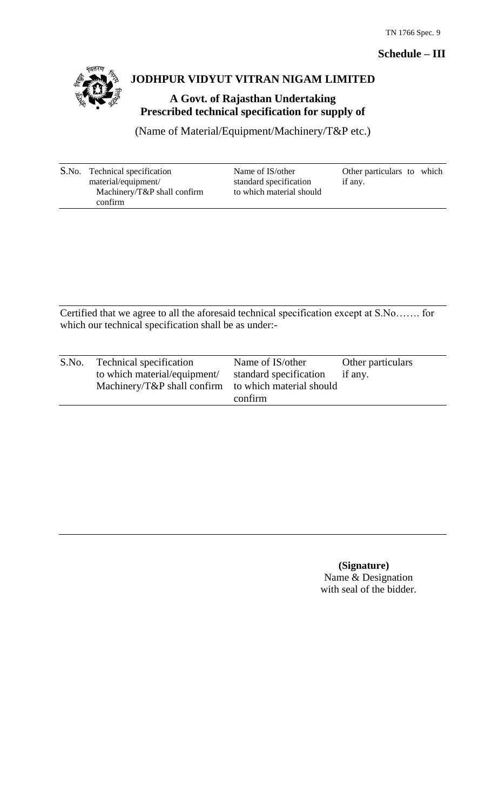# **Schedule – III**



# **JODHPUR VIDYUT VITRAN NIGAM LIMITED**

**A Govt. of Rajasthan Undertaking Prescribed technical specification for supply of** 

(Name of Material/Equipment/Machinery/T&P etc.)

| S.No. Technical specification | Name of IS/other         | Other particulars to which |
|-------------------------------|--------------------------|----------------------------|
| material/equipment/           | standard specification   | if any.                    |
| Machinery/T&P shall confirm   | to which material should |                            |
| confirm                       |                          |                            |

Certified that we agree to all the aforesaid technical specification except at S.No……. for which our technical specification shall be as under:-

| S.No. | Technical specification                              | Name of IS/other       | Other particulars |
|-------|------------------------------------------------------|------------------------|-------------------|
|       | to which material/equipment/                         | standard specification | if any.           |
|       | Machinery/T&P shall confirm to which material should |                        |                   |
|       |                                                      | confirm                |                   |

 **(Signature)** Name & Designation with seal of the bidder.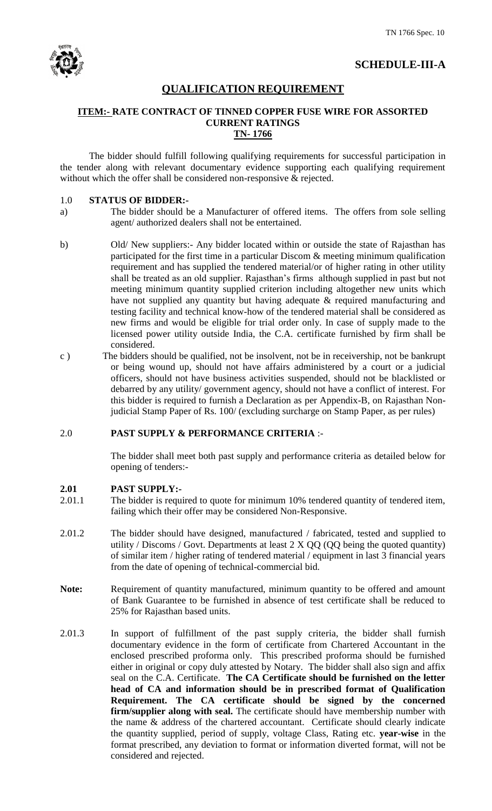

# **QUALIFICATION REQUIREMENT**

#### **ITEM:- RATE CONTRACT OF TINNED COPPER FUSE WIRE FOR ASSORTED CURRENT RATINGS TN- 1766**

The bidder should fulfill following qualifying requirements for successful participation in the tender along with relevant documentary evidence supporting each qualifying requirement without which the offer shall be considered non-responsive & rejected.

### 1.0 **STATUS OF BIDDER:-**

- a) The bidder should be a Manufacturer of offered items. The offers from sole selling agent/ authorized dealers shall not be entertained.
- b) Old/ New suppliers:- Any bidder located within or outside the state of Rajasthan has participated for the first time in a particular Discom & meeting minimum qualification requirement and has supplied the tendered material/or of higher rating in other utility shall be treated as an old supplier. Rajasthan"s firms although supplied in past but not meeting minimum quantity supplied criterion including altogether new units which have not supplied any quantity but having adequate & required manufacturing and testing facility and technical know-how of the tendered material shall be considered as new firms and would be eligible for trial order only. In case of supply made to the licensed power utility outside India, the C.A. certificate furnished by firm shall be considered.
- c ) The bidders should be qualified, not be insolvent, not be in receivership, not be bankrupt or being wound up, should not have affairs administered by a court or a judicial officers, should not have business activities suspended, should not be blacklisted or debarred by any utility/ government agency, should not have a conflict of interest. For this bidder is required to furnish a Declaration as per Appendix-B, on Rajasthan Nonjudicial Stamp Paper of Rs. 100/ (excluding surcharge on Stamp Paper, as per rules)

# 2.0 **PAST SUPPLY & PERFORMANCE CRITERIA** :-

The bidder shall meet both past supply and performance criteria as detailed below for opening of tenders:-

#### **2.01 PAST SUPPLY:-**

- 2.01.1 The bidder is required to quote for minimum 10% tendered quantity of tendered item, failing which their offer may be considered Non-Responsive.
- 2.01.2 The bidder should have designed, manufactured / fabricated, tested and supplied to utility / Discoms / Govt. Departments at least  $2 \times QQ$  (QQ being the quoted quantity) of similar item / higher rating of tendered material / equipment in last 3 financial years from the date of opening of technical-commercial bid.
- Note: Requirement of quantity manufactured, minimum quantity to be offered and amount of Bank Guarantee to be furnished in absence of test certificate shall be reduced to 25% for Rajasthan based units.
- 2.01.3 In support of fulfillment of the past supply criteria, the bidder shall furnish documentary evidence in the form of certificate from Chartered Accountant in the enclosed prescribed proforma only. This prescribed proforma should be furnished either in original or copy duly attested by Notary. The bidder shall also sign and affix seal on the C.A. Certificate. **The CA Certificate should be furnished on the letter head of CA and information should be in prescribed format of Qualification Requirement. The CA certificate should be signed by the concerned firm/supplier along with seal.** The certificate should have membership number with the name & address of the chartered accountant. Certificate should clearly indicate the quantity supplied, period of supply, voltage Class, Rating etc. **year-wise** in the format prescribed, any deviation to format or information diverted format, will not be considered and rejected.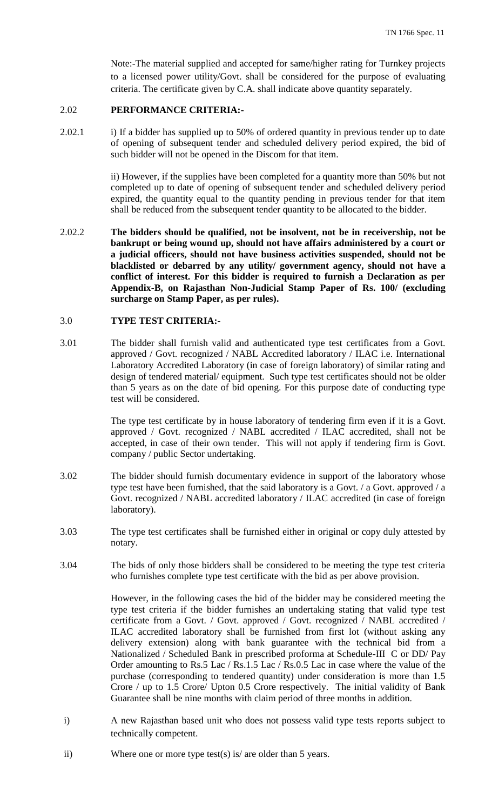Note:-The material supplied and accepted for same/higher rating for Turnkey projects to a licensed power utility/Govt. shall be considered for the purpose of evaluating criteria. The certificate given by C.A. shall indicate above quantity separately.

# 2.02 **PERFORMANCE CRITERIA:-**

2.02.1 i) If a bidder has supplied up to 50% of ordered quantity in previous tender up to date of opening of subsequent tender and scheduled delivery period expired, the bid of such bidder will not be opened in the Discom for that item.

> ii) However, if the supplies have been completed for a quantity more than 50% but not completed up to date of opening of subsequent tender and scheduled delivery period expired, the quantity equal to the quantity pending in previous tender for that item shall be reduced from the subsequent tender quantity to be allocated to the bidder.

2.02.2 **The bidders should be qualified, not be insolvent, not be in receivership, not be bankrupt or being wound up, should not have affairs administered by a court or a judicial officers, should not have business activities suspended, should not be blacklisted or debarred by any utility/ government agency, should not have a conflict of interest. For this bidder is required to furnish a Declaration as per Appendix-B, on Rajasthan Non-Judicial Stamp Paper of Rs. 100/ (excluding surcharge on Stamp Paper, as per rules).**

## 3.0 **TYPE TEST CRITERIA:-**

3.01 The bidder shall furnish valid and authenticated type test certificates from a Govt. approved / Govt. recognized / NABL Accredited laboratory / ILAC i.e. International Laboratory Accredited Laboratory (in case of foreign laboratory) of similar rating and design of tendered material/ equipment. Such type test certificates should not be older than 5 years as on the date of bid opening. For this purpose date of conducting type test will be considered.

> The type test certificate by in house laboratory of tendering firm even if it is a Govt. approved / Govt. recognized / NABL accredited / ILAC accredited, shall not be accepted, in case of their own tender. This will not apply if tendering firm is Govt. company / public Sector undertaking.

- 3.02 The bidder should furnish documentary evidence in support of the laboratory whose type test have been furnished, that the said laboratory is a Govt. / a Govt. approved / a Govt. recognized / NABL accredited laboratory / ILAC accredited (in case of foreign laboratory).
- 3.03 The type test certificates shall be furnished either in original or copy duly attested by notary.
- 3.04 The bids of only those bidders shall be considered to be meeting the type test criteria who furnishes complete type test certificate with the bid as per above provision.

However, in the following cases the bid of the bidder may be considered meeting the type test criteria if the bidder furnishes an undertaking stating that valid type test certificate from a Govt. / Govt. approved / Govt. recognized / NABL accredited / ILAC accredited laboratory shall be furnished from first lot (without asking any delivery extension) along with bank guarantee with the technical bid from a Nationalized / Scheduled Bank in prescribed proforma at Schedule-III C or DD/ Pay Order amounting to Rs.5 Lac / Rs.1.5 Lac / Rs.0.5 Lac in case where the value of the purchase (corresponding to tendered quantity) under consideration is more than 1.5 Crore / up to 1.5 Crore/ Upton 0.5 Crore respectively. The initial validity of Bank Guarantee shall be nine months with claim period of three months in addition.

- i) A new Rajasthan based unit who does not possess valid type tests reports subject to technically competent.
- ii) Where one or more type test(s) is/ are older than 5 years.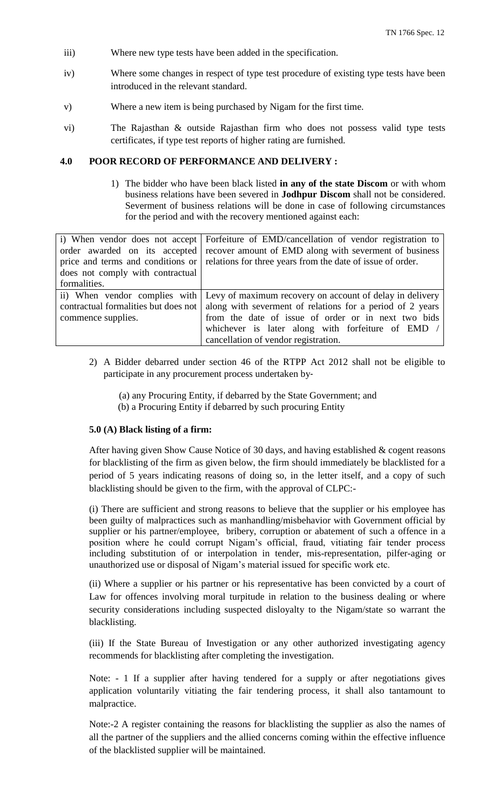- iii) Where new type tests have been added in the specification.
- iv) Where some changes in respect of type test procedure of existing type tests have been introduced in the relevant standard.
- v) Where a new item is being purchased by Nigam for the first time.
- vi) The Rajasthan & outside Rajasthan firm who does not possess valid type tests certificates, if type test reports of higher rating are furnished.

#### **4.0 POOR RECORD OF PERFORMANCE AND DELIVERY :**

1) The bidder who have been black listed **in any of the state Discom** or with whom business relations have been severed in **Jodhpur Discom** shall not be considered. Severment of business relations will be done in case of following circumstances for the period and with the recovery mentioned against each:

| i) When vendor does not accept       | Forfeiture of EMD/cancellation of vendor registration to                               |
|--------------------------------------|----------------------------------------------------------------------------------------|
| order awarded on its accepted        | recover amount of EMD along with severment of business                                 |
| price and terms and conditions or    | relations for three years from the date of issue of order.                             |
| does not comply with contractual     |                                                                                        |
| formalities.                         |                                                                                        |
|                                      | ii) When vendor complies with Levy of maximum recovery on account of delay in delivery |
| contractual formalities but does not | along with severment of relations for a period of 2 years                              |
| commence supplies.                   | from the date of issue of order or in next two bids                                    |
|                                      | whichever is later along with forfeiture of EMD /                                      |
|                                      | cancellation of vendor registration.                                                   |

- 2) A Bidder debarred under section 46 of the RTPP Act 2012 shall not be eligible to participate in any procurement process undertaken by‐
	- (a) any Procuring Entity, if debarred by the State Government; and (b) a Procuring Entity if debarred by such procuring Entity

#### **5.0 (A) Black listing of a firm:**

After having given Show Cause Notice of 30 days, and having established & cogent reasons for blacklisting of the firm as given below, the firm should immediately be blacklisted for a period of 5 years indicating reasons of doing so, in the letter itself, and a copy of such blacklisting should be given to the firm, with the approval of CLPC:-

(i) There are sufficient and strong reasons to believe that the supplier or his employee has been guilty of malpractices such as manhandling/misbehavior with Government official by supplier or his partner/employee, bribery, corruption or abatement of such a offence in a position where he could corrupt Nigam"s official, fraud, vitiating fair tender process including substitution of or interpolation in tender, mis-representation, pilfer-aging or unauthorized use or disposal of Nigam"s material issued for specific work etc.

(ii) Where a supplier or his partner or his representative has been convicted by a court of Law for offences involving moral turpitude in relation to the business dealing or where security considerations including suspected disloyalty to the Nigam/state so warrant the blacklisting.

(iii) If the State Bureau of Investigation or any other authorized investigating agency recommends for blacklisting after completing the investigation.

Note: - 1 If a supplier after having tendered for a supply or after negotiations gives application voluntarily vitiating the fair tendering process, it shall also tantamount to malpractice.

Note:-2 A register containing the reasons for blacklisting the supplier as also the names of all the partner of the suppliers and the allied concerns coming within the effective influence of the blacklisted supplier will be maintained.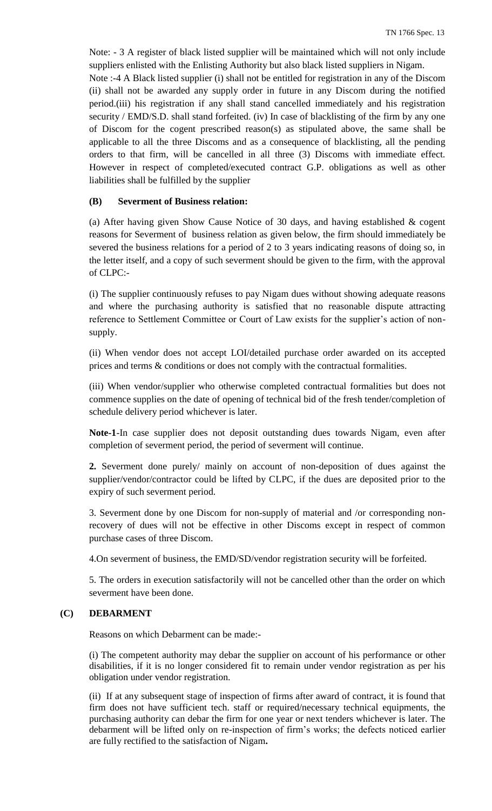Note: - 3 A register of black listed supplier will be maintained which will not only include suppliers enlisted with the Enlisting Authority but also black listed suppliers in Nigam. Note :-4 A Black listed supplier (i) shall not be entitled for registration in any of the Discom (ii) shall not be awarded any supply order in future in any Discom during the notified period.(iii) his registration if any shall stand cancelled immediately and his registration security / EMD/S.D. shall stand forfeited. (iv) In case of blacklisting of the firm by any one of Discom for the cogent prescribed reason(s) as stipulated above, the same shall be applicable to all the three Discoms and as a consequence of blacklisting, all the pending orders to that firm, will be cancelled in all three (3) Discoms with immediate effect. However in respect of completed/executed contract G.P. obligations as well as other liabilities shall be fulfilled by the supplier

#### **(B) Severment of Business relation:**

(a) After having given Show Cause Notice of 30 days, and having established & cogent reasons for Severment of business relation as given below, the firm should immediately be severed the business relations for a period of 2 to 3 years indicating reasons of doing so, in the letter itself, and a copy of such severment should be given to the firm, with the approval of CLPC:-

(i) The supplier continuously refuses to pay Nigam dues without showing adequate reasons and where the purchasing authority is satisfied that no reasonable dispute attracting reference to Settlement Committee or Court of Law exists for the supplier"s action of nonsupply.

(ii) When vendor does not accept LOI/detailed purchase order awarded on its accepted prices and terms & conditions or does not comply with the contractual formalities.

(iii) When vendor/supplier who otherwise completed contractual formalities but does not commence supplies on the date of opening of technical bid of the fresh tender/completion of schedule delivery period whichever is later.

**Note-1**-In case supplier does not deposit outstanding dues towards Nigam, even after completion of severment period, the period of severment will continue.

**2.** Severment done purely/ mainly on account of non-deposition of dues against the supplier/vendor/contractor could be lifted by CLPC, if the dues are deposited prior to the expiry of such severment period.

3. Severment done by one Discom for non-supply of material and /or corresponding nonrecovery of dues will not be effective in other Discoms except in respect of common purchase cases of three Discom.

4.On severment of business, the EMD/SD/vendor registration security will be forfeited.

5. The orders in execution satisfactorily will not be cancelled other than the order on which severment have been done.

#### **(C) DEBARMENT**

Reasons on which Debarment can be made:-

(i) The competent authority may debar the supplier on account of his performance or other disabilities, if it is no longer considered fit to remain under vendor registration as per his obligation under vendor registration.

(ii) If at any subsequent stage of inspection of firms after award of contract, it is found that firm does not have sufficient tech. staff or required/necessary technical equipments, the purchasing authority can debar the firm for one year or next tenders whichever is later. The debarment will be lifted only on re-inspection of firm"s works; the defects noticed earlier are fully rectified to the satisfaction of Nigam**.**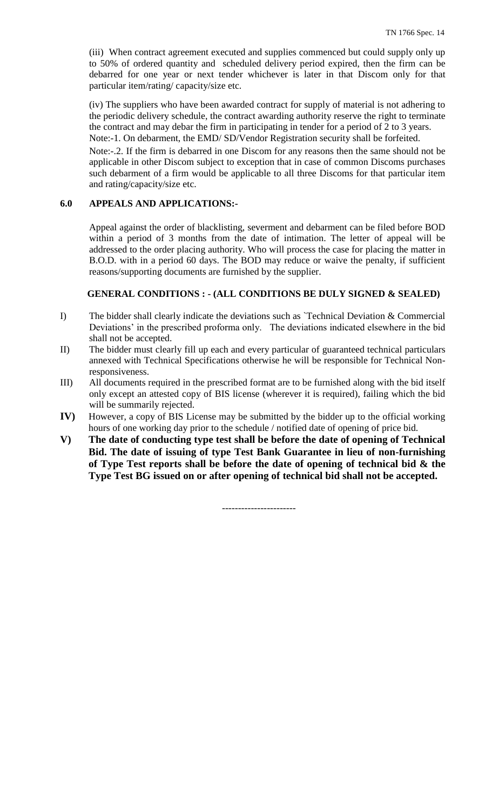(iii) When contract agreement executed and supplies commenced but could supply only up to 50% of ordered quantity and scheduled delivery period expired, then the firm can be debarred for one year or next tender whichever is later in that Discom only for that particular item/rating/ capacity/size etc.

(iv) The suppliers who have been awarded contract for supply of material is not adhering to the periodic delivery schedule, the contract awarding authority reserve the right to terminate the contract and may debar the firm in participating in tender for a period of 2 to 3 years. Note:-1. On debarment, the EMD/ SD/Vendor Registration security shall be forfeited.

Note:-.2. If the firm is debarred in one Discom for any reasons then the same should not be applicable in other Discom subject to exception that in case of common Discoms purchases such debarment of a firm would be applicable to all three Discoms for that particular item

#### **6.0 APPEALS AND APPLICATIONS:-**

and rating/capacity/size etc.

Appeal against the order of blacklisting, severment and debarment can be filed before BOD within a period of 3 months from the date of intimation. The letter of appeal will be addressed to the order placing authority. Who will process the case for placing the matter in B.O.D. with in a period 60 days. The BOD may reduce or waive the penalty, if sufficient reasons/supporting documents are furnished by the supplier.

#### **GENERAL CONDITIONS : - (ALL CONDITIONS BE DULY SIGNED & SEALED)**

- I) The bidder shall clearly indicate the deviations such as `Technical Deviation & Commercial Deviations' in the prescribed proforma only. The deviations indicated elsewhere in the bid shall not be accepted.
- II) The bidder must clearly fill up each and every particular of guaranteed technical particulars annexed with Technical Specifications otherwise he will be responsible for Technical Nonresponsiveness.
- III) All documents required in the prescribed format are to be furnished along with the bid itself only except an attested copy of BIS license (wherever it is required), failing which the bid will be summarily rejected.
- **IV)** However, a copy of BIS License may be submitted by the bidder up to the official working hours of one working day prior to the schedule / notified date of opening of price bid.
- **V) The date of conducting type test shall be before the date of opening of Technical Bid. The date of issuing of type Test Bank Guarantee in lieu of non-furnishing of Type Test reports shall be before the date of opening of technical bid & the Type Test BG issued on or after opening of technical bid shall not be accepted.**

-----------------------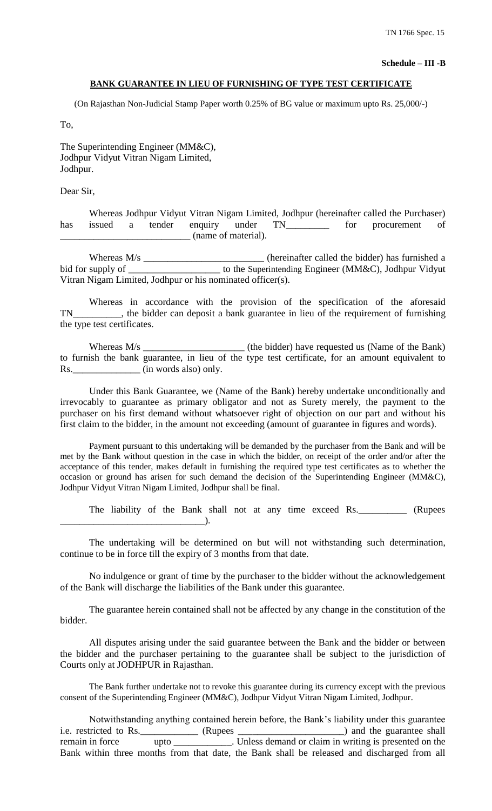#### **Schedule – III -B**

#### **BANK GUARANTEE IN LIEU OF FURNISHING OF TYPE TEST CERTIFICATE**

(On Rajasthan Non-Judicial Stamp Paper worth 0.25% of BG value or maximum upto Rs. 25,000/-)

To,

The Superintending Engineer (MM&C), Jodhpur Vidyut Vitran Nigam Limited, Jodhpur.

Dear Sir,

Whereas Jodhpur Vidyut Vitran Nigam Limited, Jodhpur (hereinafter called the Purchaser) has issued a tender enquiry under TN\_\_\_\_\_\_\_\_ for procurement of \_\_\_\_\_\_\_\_\_\_\_\_\_\_\_\_\_\_\_\_\_\_\_\_\_\_\_ (name of material).

Whereas M/s \_\_\_\_\_\_\_\_\_\_\_\_\_\_\_\_\_\_\_\_\_\_\_\_\_\_\_ (hereinafter called the bidder) has furnished a bid for supply of \_\_\_\_\_\_\_\_\_\_\_\_\_\_\_\_\_\_\_\_\_ to the Superintending Engineer (MM&C), Jodhpur Vidyut Vitran Nigam Limited, Jodhpur or his nominated officer(s).

Whereas in accordance with the provision of the specification of the aforesaid TN\_\_\_\_\_\_\_\_\_\_, the bidder can deposit a bank guarantee in lieu of the requirement of furnishing the type test certificates.

Whereas M/s \_\_\_\_\_\_\_\_\_\_\_\_\_\_\_\_\_\_\_\_\_\_\_\_\_\_ (the bidder) have requested us (Name of the Bank) to furnish the bank guarantee, in lieu of the type test certificate, for an amount equivalent to Rs. \_\_\_\_\_\_\_\_\_\_\_\_\_\_\_ (in words also) only.

Under this Bank Guarantee, we (Name of the Bank) hereby undertake unconditionally and irrevocably to guarantee as primary obligator and not as Surety merely, the payment to the purchaser on his first demand without whatsoever right of objection on our part and without his first claim to the bidder, in the amount not exceeding (amount of guarantee in figures and words).

Payment pursuant to this undertaking will be demanded by the purchaser from the Bank and will be met by the Bank without question in the case in which the bidder, on receipt of the order and/or after the acceptance of this tender, makes default in furnishing the required type test certificates as to whether the occasion or ground has arisen for such demand the decision of the Superintending Engineer (MM&C), Jodhpur Vidyut Vitran Nigam Limited, Jodhpur shall be final.

The liability of the Bank shall not at any time exceed Rs. \_\_\_\_\_\_\_\_\_\_ (Rupees  $\Box$ 

The undertaking will be determined on but will not withstanding such determination, continue to be in force till the expiry of 3 months from that date.

No indulgence or grant of time by the purchaser to the bidder without the acknowledgement of the Bank will discharge the liabilities of the Bank under this guarantee.

The guarantee herein contained shall not be affected by any change in the constitution of the bidder.

All disputes arising under the said guarantee between the Bank and the bidder or between the bidder and the purchaser pertaining to the guarantee shall be subject to the jurisdiction of Courts only at JODHPUR in Rajasthan.

The Bank further undertake not to revoke this guarantee during its currency except with the previous consent of the Superintending Engineer (MM&C), Jodhpur Vidyut Vitran Nigam Limited, Jodhpur.

Notwithstanding anything contained herein before, the Bank"s liability under this guarantee i.e. restricted to Rs. \_\_\_\_\_\_\_\_\_\_\_ (Rupees \_\_\_\_\_\_\_\_\_\_\_\_\_\_\_\_\_\_\_\_\_) and the guarantee shall remain in force upto \_\_\_\_\_\_\_\_\_\_\_\_. Unless demand or claim in writing is presented on the Bank within three months from that date, the Bank shall be released and discharged from all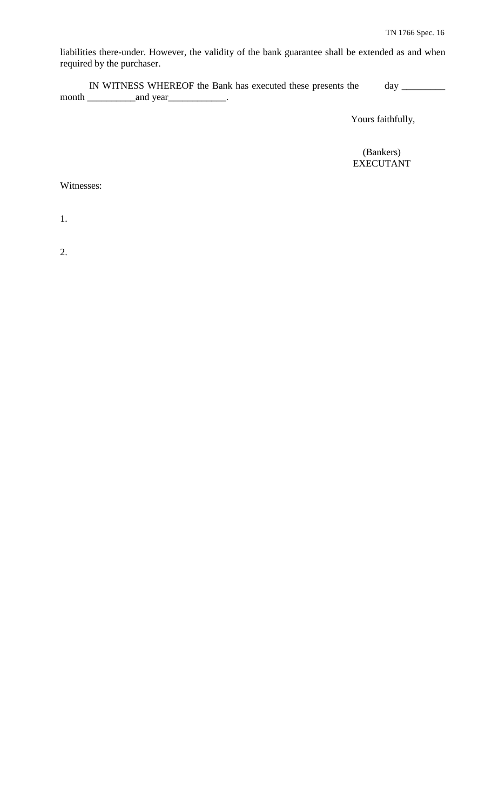liabilities there-under. However, the validity of the bank guarantee shall be extended as and when required by the purchaser.

IN WITNESS WHEREOF the Bank has executed these presents the day \_\_\_\_\_\_\_\_\_ month \_\_\_\_\_\_\_\_\_\_and year\_\_\_\_\_\_\_\_\_\_\_\_.

Yours faithfully,

 (Bankers) EXECUTANT

Witnesses:

1.

2.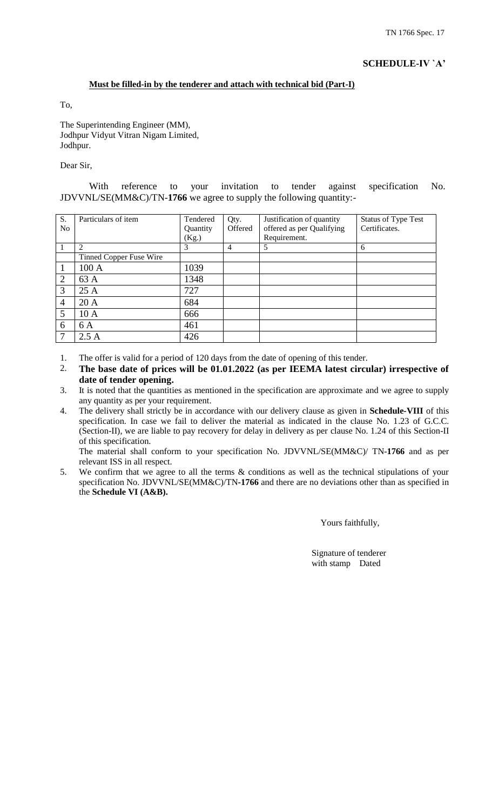## **Must be filled-in by the tenderer and attach with technical bid (Part-I)**

To,

The Superintending Engineer (MM), Jodhpur Vidyut Vitran Nigam Limited, Jodhpur.

#### Dear Sir,

With reference to your invitation to tender against specification No. JDVVNL/SE(MM&C)/TN-**1766** we agree to supply the following quantity:-

| S.             | Particulars of item     | Tendered | Qty.           | Justification of quantity | <b>Status of Type Test</b> |
|----------------|-------------------------|----------|----------------|---------------------------|----------------------------|
| N <sub>o</sub> |                         | Quantity | Offered        | offered as per Qualifying | Certificates.              |
|                |                         | (Kg.)    |                | Requirement.              |                            |
|                | ി                       | 3        | $\overline{4}$ | 5                         | 6                          |
|                | Tinned Copper Fuse Wire |          |                |                           |                            |
| 1              | 100 A                   | 1039     |                |                           |                            |
| $\overline{2}$ | 63 A                    | 1348     |                |                           |                            |
| 3              | 25A                     | 727      |                |                           |                            |
| $\overline{4}$ | 20A                     | 684      |                |                           |                            |
| 5              | 10A                     | 666      |                |                           |                            |
| 6              | 6 A                     | 461      |                |                           |                            |
| 7              | 2.5A                    | 426      |                |                           |                            |

1. The offer is valid for a period of 120 days from the date of opening of this tender.

2. **The base date of prices will be 01.01.2022 (as per IEEMA latest circular) irrespective of date of tender opening.**

- 3. It is noted that the quantities as mentioned in the specification are approximate and we agree to supply any quantity as per your requirement.
- 4. The delivery shall strictly be in accordance with our delivery clause as given in **Schedule-VIII** of this specification. In case we fail to deliver the material as indicated in the clause No. 1.23 of G.C.C. (Section-II), we are liable to pay recovery for delay in delivery as per clause No. 1.24 of this Section-II of this specification.

The material shall conform to your specification No. JDVVNL/SE(MM&C)/ TN-**1766** and as per relevant ISS in all respect.

5. We confirm that we agree to all the terms & conditions as well as the technical stipulations of your specification No. JDVVNL/SE(MM&C)/TN**-1766** and there are no deviations other than as specified in the **Schedule VI (A&B).**

Yours faithfully,

 Signature of tenderer with stamp Dated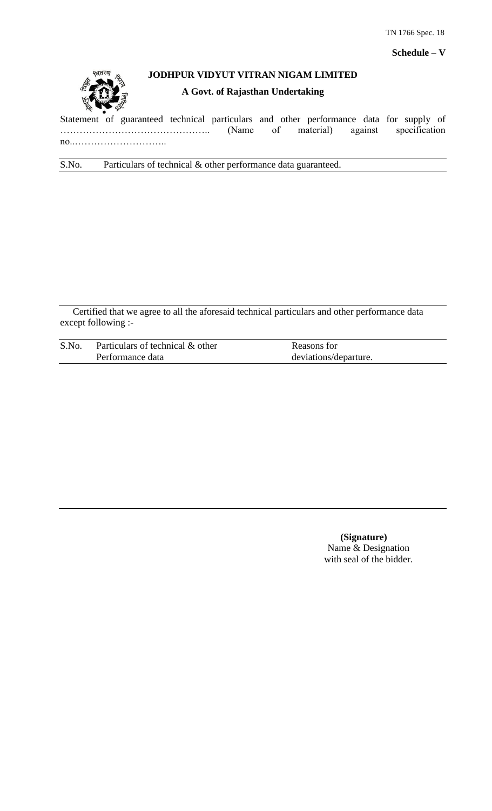

# **JODHPUR VIDYUT VITRAN NIGAM LIMITED**

# **A Govt. of Rajasthan Undertaking**

Statement of guaranteed technical particulars and other performance data for supply of ……………………………………….. (Name of material) against specification no..………………………..

S.No. Particulars of technical & other performance data guaranteed.

Certified that we agree to all the aforesaid technical particulars and other performance data except following :-

| S.No. | Particulars of technical & other | Reasons for           |
|-------|----------------------------------|-----------------------|
|       | Performance data                 | deviations/departure. |

 **(Signature)** Name & Designation with seal of the bidder.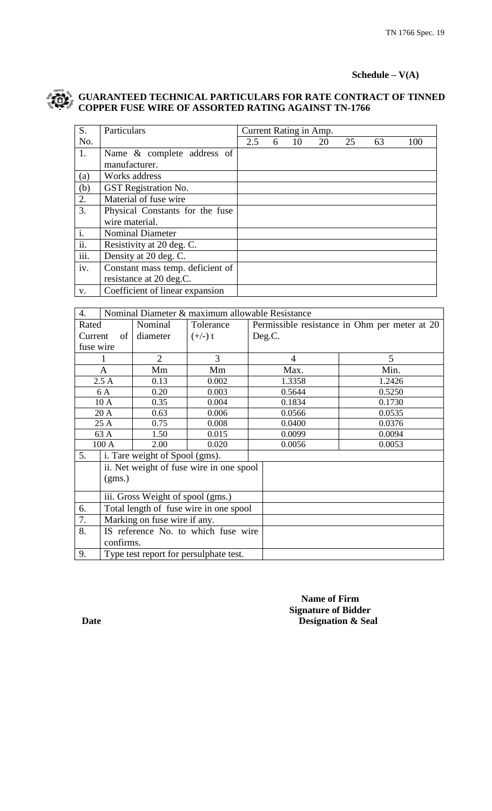# **Schedule – V(A)**

# **GUARANTEED TECHNICAL PARTICULARS FOR RATE CONTRACT OF TINNED COPPER FUSE WIRE OF ASSORTED RATING AGAINST TN-1766**

| S.   | Particulars                      | Current Rating in Amp. |   |    |    |    |    |     |
|------|----------------------------------|------------------------|---|----|----|----|----|-----|
| No.  |                                  | 2.5                    | 6 | 10 | 20 | 25 | 63 | 100 |
| 1.   | Name & complete address of       |                        |   |    |    |    |    |     |
|      | manufacturer.                    |                        |   |    |    |    |    |     |
| (a)  | Works address                    |                        |   |    |    |    |    |     |
| (b)  | <b>GST</b> Registration No.      |                        |   |    |    |    |    |     |
| 2.   | Material of fuse wire            |                        |   |    |    |    |    |     |
| 3.   | Physical Constants for the fuse  |                        |   |    |    |    |    |     |
|      | wire material.                   |                        |   |    |    |    |    |     |
| i.   | <b>Nominal Diameter</b>          |                        |   |    |    |    |    |     |
| ii.  | Resistivity at 20 deg. C.        |                        |   |    |    |    |    |     |
| iii. | Density at 20 deg. C.            |                        |   |    |    |    |    |     |
| iv.  | Constant mass temp. deficient of |                        |   |    |    |    |    |     |
|      | resistance at 20 deg.C.          |                        |   |    |    |    |    |     |
| V.   | Coefficient of linear expansion  |                        |   |    |    |    |    |     |

| 4.        | Nominal Diameter & maximum allowable Resistance |                                   |                                          |        |                                               |
|-----------|-------------------------------------------------|-----------------------------------|------------------------------------------|--------|-----------------------------------------------|
| Rated     |                                                 | Nominal                           | Tolerance                                |        | Permissible resistance in Ohm per meter at 20 |
| Current   | of                                              | diameter                          | $(+/-)$ t                                | Deg.C. |                                               |
| fuse wire |                                                 |                                   |                                          |        |                                               |
|           |                                                 | $\overline{2}$                    | 3                                        | 4      | 5                                             |
|           | A                                               | Mm                                | Mm                                       | Max.   | Min.                                          |
|           | 2.5A                                            | 0.13                              | 0.002                                    | 1.3358 | 1.2426                                        |
|           | 6 A                                             | 0.20                              | 0.003                                    | 0.5644 | 0.5250                                        |
|           | 10 A                                            | 0.35                              | 0.004                                    | 0.1834 | 0.1730                                        |
|           | 20 A                                            | 0.63                              | 0.006                                    | 0.0566 | 0.0535                                        |
|           | 25 A                                            | 0.75                              | 0.008                                    | 0.0400 | 0.0376                                        |
|           | 63 A                                            | 1.50                              | 0.015                                    | 0.0099 | 0.0094                                        |
|           | 100 A                                           | 2.00                              | 0.020                                    | 0.0056 | 0.0053                                        |
| 5.        |                                                 | i. Tare weight of Spool (gms).    |                                          |        |                                               |
|           |                                                 |                                   | ii. Net weight of fuse wire in one spool |        |                                               |
|           | (gms.)                                          |                                   |                                          |        |                                               |
|           |                                                 | iii. Gross Weight of spool (gms.) |                                          |        |                                               |
| 6.        |                                                 |                                   | Total length of fuse wire in one spool   |        |                                               |
| 7.        | Marking on fuse wire if any.                    |                                   |                                          |        |                                               |
| 8.        | IS reference No. to which fuse wire             |                                   |                                          |        |                                               |
|           | confirms.                                       |                                   |                                          |        |                                               |
| 9.        | Type test report for persulphate test.          |                                   |                                          |        |                                               |

 **Name of Firm Signature of Bidder Date** Designation & Seal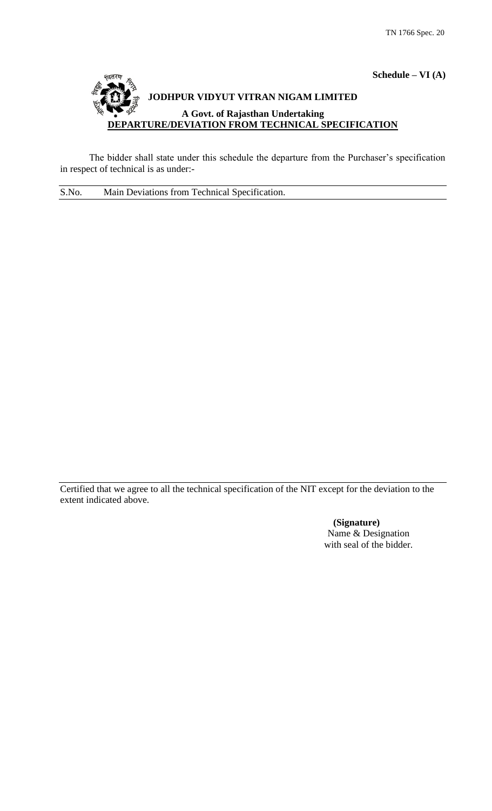

The bidder shall state under this schedule the departure from the Purchaser's specification in respect of technical is as under:-

S.No. Main Deviations from Technical Specification.

Certified that we agree to all the technical specification of the NIT except for the deviation to the extent indicated above.

> **(Signature)** Name & Designation with seal of the bidder.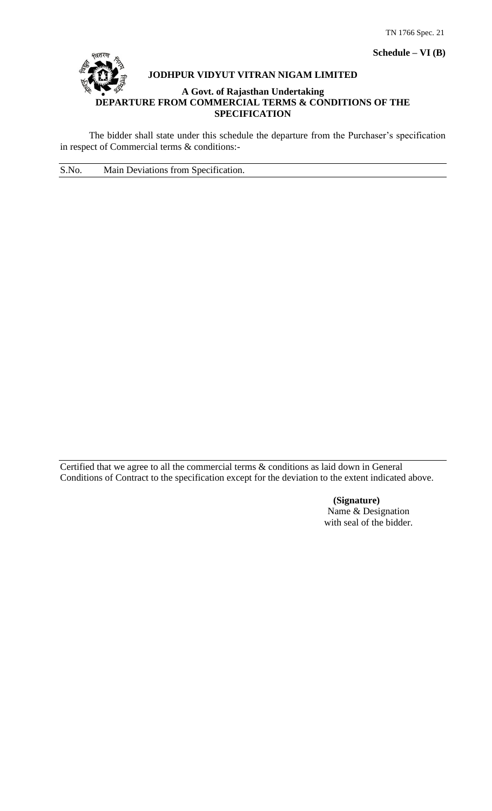**Schedule – VI (B)**



# **JODHPUR VIDYUT VITRAN NIGAM LIMITED**

#### **A Govt. of Rajasthan Undertaking DEPARTURE FROM COMMERCIAL TERMS & CONDITIONS OF THE SPECIFICATION**

The bidder shall state under this schedule the departure from the Purchaser's specification in respect of Commercial terms & conditions:-

S.No. Main Deviations from Specification.

Certified that we agree to all the commercial terms & conditions as laid down in General Conditions of Contract to the specification except for the deviation to the extent indicated above.

> **(Signature)** Name & Designation with seal of the bidder.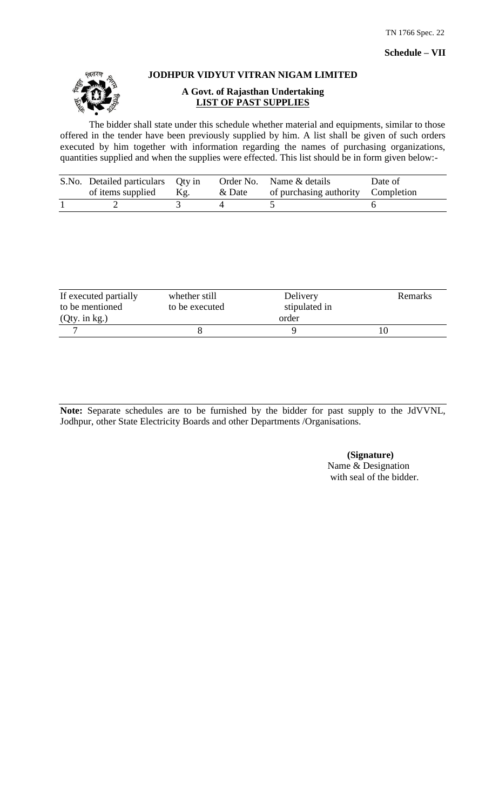

# **JODHPUR VIDYUT VITRAN NIGAM LIMITED**

# **A Govt. of Rajasthan Undertaking LIST OF PAST SUPPLIES**

The bidder shall state under this schedule whether material and equipments, similar to those offered in the tender have been previously supplied by him. A list shall be given of such orders executed by him together with information regarding the names of purchasing organizations, quantities supplied and when the supplies were effected. This list should be in form given below:-

| S.No. Detailed particulars Qty in<br>of items supplied | Kg. | & Date | Order No. Name & details<br>of purchasing authority Completion | Date of |
|--------------------------------------------------------|-----|--------|----------------------------------------------------------------|---------|
|                                                        |     |        |                                                                |         |

| If executed partially | whether still  | Delivery      |  |
|-----------------------|----------------|---------------|--|
| to be mentioned       | to be executed | stipulated in |  |
| $(Qty.$ in kg.)       |                | order         |  |
|                       |                |               |  |

**Note:** Separate schedules are to be furnished by the bidder for past supply to the JdVVNL, Jodhpur, other State Electricity Boards and other Departments /Organisations.

> **(Signature)** Name & Designation with seal of the bidder.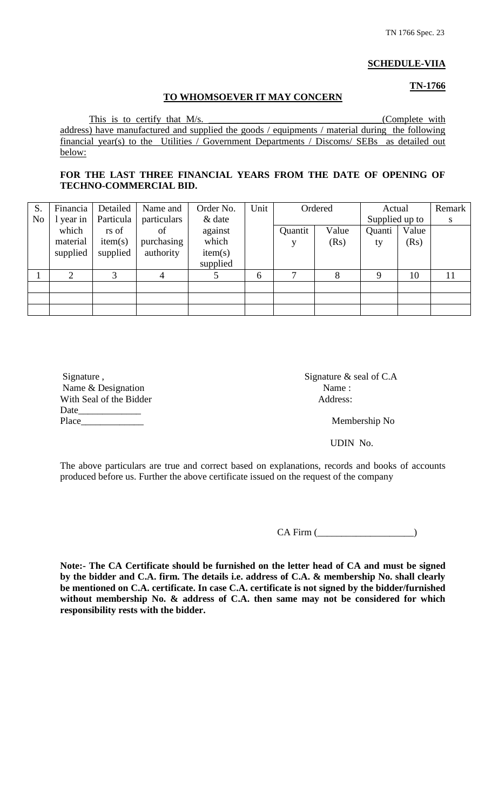## **SCHEDULE-VIIA**

# **TN-1766**

#### **TO WHOMSOEVER IT MAY CONCERN**

This is to certify that M/s. \_\_\_\_\_\_\_\_\_\_\_\_\_\_\_\_\_\_\_\_\_\_\_\_\_\_\_\_\_\_\_\_\_\_\_\_(Complete with address) have manufactured and supplied the goods / equipments / material during the following financial year(s) to the Utilities / Government Departments / Discoms/ SEBs as detailed out below:

# FOR THE LAST THREE FINANCIAL YEARS FROM THE DATE OF OPENING OF **TECHNO-COMMERCIAL BID.**

| S.             | Financia  | Detailed  | Name and    | Order No. | Unit |         | Ordered | Actual         |       | Remark |
|----------------|-----------|-----------|-------------|-----------|------|---------|---------|----------------|-------|--------|
| N <sub>0</sub> | 1 year in | Particula | particulars | $\&$ date |      |         |         | Supplied up to |       | S      |
|                | which     | rs of     | of          | against   |      | Quantit | Value   | Quanti         | Value |        |
|                | material  | item(s)   | purchasing  | which     |      |         | (Rs)    | ty             | (Rs)  |        |
|                | supplied  | supplied  | authority   | item(s)   |      |         |         |                |       |        |
|                |           |           |             | supplied  |      |         |         |                |       |        |
|                | ↑         | 3         | 4           |           | 6    | 7       | 8       | 9              | 10    | 11     |
|                |           |           |             |           |      |         |         |                |       |        |
|                |           |           |             |           |      |         |         |                |       |        |
|                |           |           |             |           |      |         |         |                |       |        |

| Signature,              | Signature $\&$ |
|-------------------------|----------------|
| Name & Designation      | Name:          |
| With Seal of the Bidder | Address:       |
| Date                    |                |
| Place                   | Mem            |

Signature  $\&$  seal of C.A Address:

Membership No

UDIN No.

The above particulars are true and correct based on explanations, records and books of accounts produced before us. Further the above certificate issued on the request of the company

CA Firm (

**Note:- The CA Certificate should be furnished on the letter head of CA and must be signed by the bidder and C.A. firm. The details i.e. address of C.A. & membership No. shall clearly be mentioned on C.A. certificate. In case C.A. certificate is not signed by the bidder/furnished without membership No. & address of C.A. then same may not be considered for which responsibility rests with the bidder.**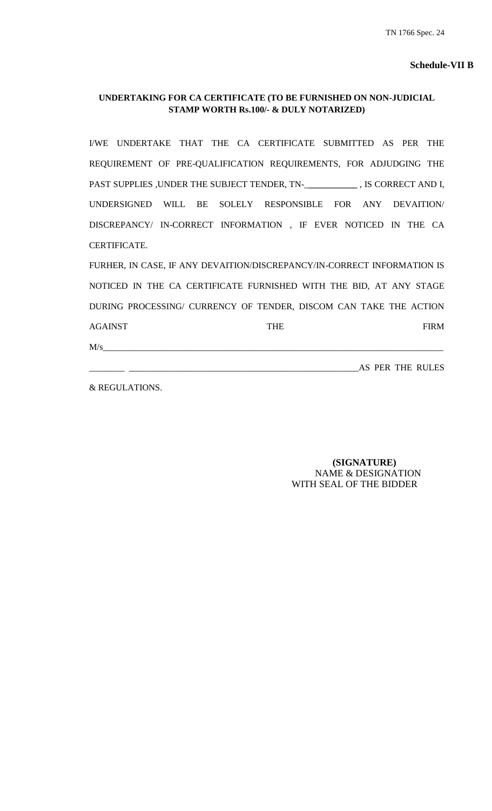# **UNDERTAKING FOR CA CERTIFICATE (TO BE FURNISHED ON NON-JUDICIAL STAMP WORTH Rs.100/- & DULY NOTARIZED)**

I/WE UNDERTAKE THAT THE CA CERTIFICATE SUBMITTED AS PER THE REQUIREMENT OF PRE-QUALIFICATION REQUIREMENTS, FOR ADJUDGING THE PAST SUPPLIES ,UNDER THE SUBJECT TENDER, TN-\_**\_\_\_\_\_\_\_\_\_\_\_** , IS CORRECT AND I, UNDERSIGNED WILL BE SOLELY RESPONSIBLE FOR ANY DEVAITION/ DISCREPANCY/ IN-CORRECT INFORMATION , IF EVER NOTICED IN THE CA CERTIFICATE.

FURHER, IN CASE, IF ANY DEVAITION/DISCREPANCY/IN-CORRECT INFORMATION IS NOTICED IN THE CA CERTIFICATE FURNISHED WITH THE BID, AT ANY STAGE DURING PROCESSING/ CURRENCY OF TENDER, DISCOM CAN TAKE THE ACTION AGAINST FIRM

 $M/s$   $\overline{M/s}$   $\overline{M/s}$   $\overline{M/s}$   $\overline{M/s}$   $\overline{M/s}$   $\overline{M/s}$   $\overline{M/s}$   $\overline{M/s}$   $\overline{M/s}$   $\overline{M/s}$   $\overline{M/s}$   $\overline{M/s}$   $\overline{M/s}$   $\overline{M/s}$   $\overline{M/s}$   $\overline{M/s}$   $\overline{M/s}$   $\overline{M/s}$   $\overline{M/s}$   $\overline{M/s}$   $\overline{M/s}$   $\overline{M$ 

\_\_\_\_\_\_\_\_ \_\_\_\_\_\_\_\_\_\_\_\_\_\_\_\_\_\_\_\_\_\_\_\_\_\_\_\_\_\_\_\_\_\_\_\_\_\_\_\_\_\_\_\_\_\_\_\_\_\_\_\_AS PER THE RULES

& REGULATIONS.

 **(SIGNATURE)** NAME & DESIGNATION WITH SEAL OF THE BIDDER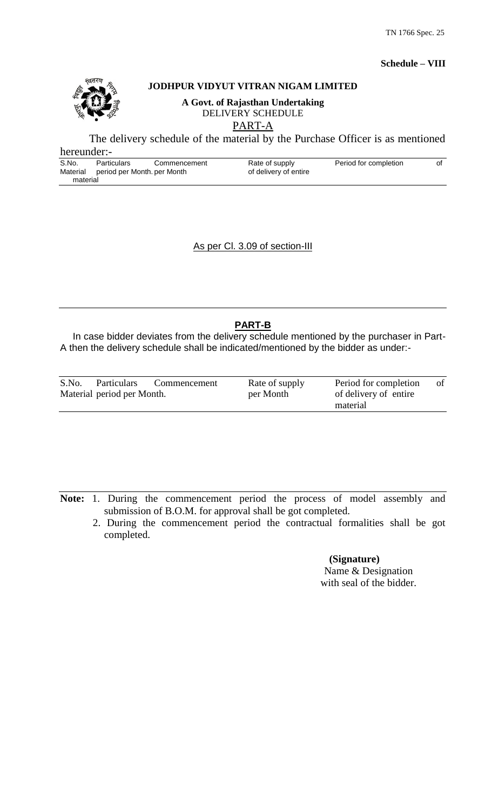# **JODHPUR VIDYUT VITRAN NIGAM LIMITED**

**A Govt. of Rajasthan Undertaking** DELIVERY SCHEDULE

PART-A

The delivery schedule of the material by the Purchase Officer is as mentioned

| hereunder:-       |                                                   |              |                                         |                       |    |
|-------------------|---------------------------------------------------|--------------|-----------------------------------------|-----------------------|----|
| S.No.<br>Material | <b>Particulars</b><br>period per Month. per Month | Commencement | Rate of supply<br>of delivery of entire | Period for completion | Οt |
| material          |                                                   |              |                                         |                       |    |

As per Cl. 3.09 of section-III

# **PART-B**

In case bidder deviates from the delivery schedule mentioned by the purchaser in Part-A then the delivery schedule shall be indicated/mentioned by the bidder as under:-

| S.No.                      | Particulars | Commencement | Rate of supply | Period for completion | of |
|----------------------------|-------------|--------------|----------------|-----------------------|----|
| Material period per Month. |             |              | per Month      | of delivery of entire |    |
|                            |             |              |                | material              |    |

**Note:** 1. During the commencement period the process of model assembly and submission of B.O.M. for approval shall be got completed.

 2. During the commencement period the contractual formalities shall be got completed.

> **(Signature)** Name & Designation with seal of the bidder.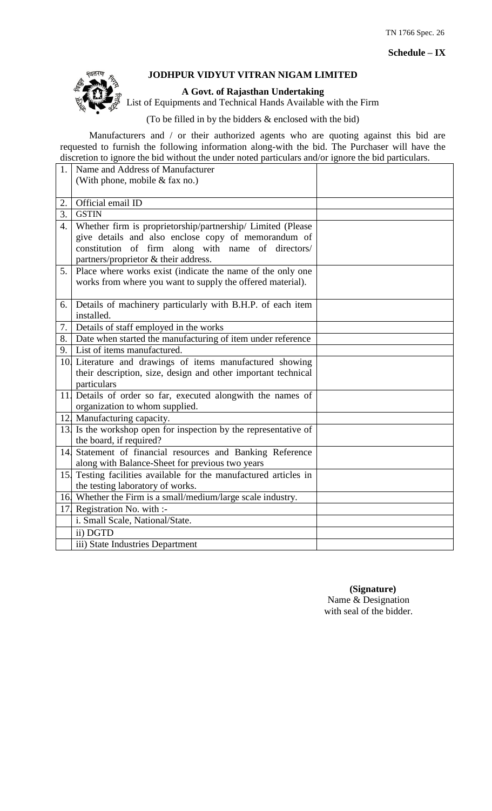**Schedule – IX**



# **JODHPUR VIDYUT VITRAN NIGAM LIMITED**

## **A Govt. of Rajasthan Undertaking**

List of Equipments and Technical Hands Available with the Firm

(To be filled in by the bidders & enclosed with the bid)

Manufacturers and / or their authorized agents who are quoting against this bid are requested to furnish the following information along-with the bid. The Purchaser will have the discretion to ignore the bid without the under noted particulars and/or ignore the bid particulars.

| 1.               | Name and Address of Manufacturer                                  |  |
|------------------|-------------------------------------------------------------------|--|
|                  | (With phone, mobile $&$ fax no.)                                  |  |
|                  |                                                                   |  |
| 2.               | Official email ID                                                 |  |
| $\overline{3}$ . | <b>GSTIN</b>                                                      |  |
| 4.               | Whether firm is proprietorship/partnership/ Limited (Please       |  |
|                  | give details and also enclose copy of memorandum of               |  |
|                  | constitution of firm along with name of directors/                |  |
|                  | partners/proprietor & their address.                              |  |
| 5.               | Place where works exist (indicate the name of the only one        |  |
|                  | works from where you want to supply the offered material).        |  |
|                  |                                                                   |  |
| 6.               | Details of machinery particularly with B.H.P. of each item        |  |
|                  | installed.                                                        |  |
| 7.               | Details of staff employed in the works                            |  |
|                  | 8. Date when started the manufacturing of item under reference    |  |
|                  | 9. List of items manufactured.                                    |  |
|                  | 10. Literature and drawings of items manufactured showing         |  |
|                  | their description, size, design and other important technical     |  |
|                  | particulars                                                       |  |
|                  | 11. Details of order so far, executed alongwith the names of      |  |
|                  | organization to whom supplied.                                    |  |
|                  | 12. Manufacturing capacity.                                       |  |
|                  | 13. Is the workshop open for inspection by the representative of  |  |
|                  | the board, if required?                                           |  |
|                  | 14. Statement of financial resources and Banking Reference        |  |
|                  | along with Balance-Sheet for previous two years                   |  |
|                  | 15. Testing facilities available for the manufactured articles in |  |
|                  | the testing laboratory of works.                                  |  |
|                  | 16. Whether the Firm is a small/medium/large scale industry.      |  |
|                  | 17. Registration No. with :-                                      |  |
|                  | i. Small Scale, National/State.                                   |  |
|                  | ii) DGTD                                                          |  |
|                  | iii) State Industries Department                                  |  |

 **(Signature)** Name & Designation with seal of the bidder.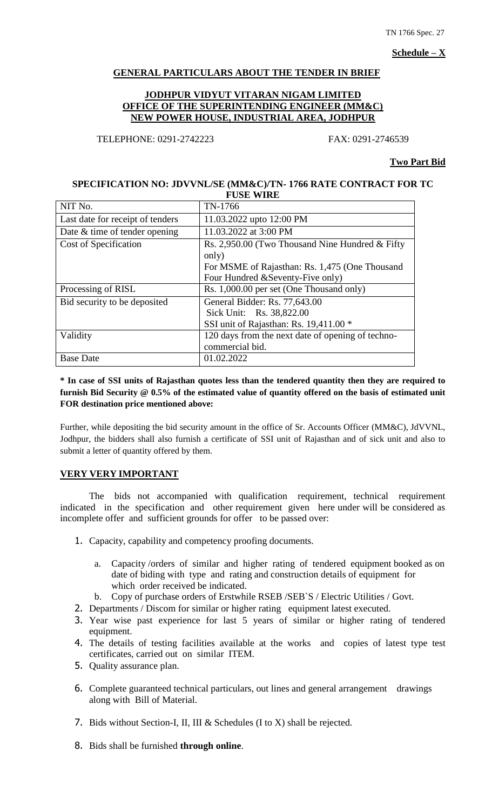TN 1766 Spec. 27

**Schedule – X**

# **GENERAL PARTICULARS ABOUT THE TENDER IN BRIEF**

## **JODHPUR VIDYUT VITARAN NIGAM LIMITED OFFICE OF THE SUPERINTENDING ENGINEER (MM&C) NEW POWER HOUSE, INDUSTRIAL AREA, JODHPUR**

TELEPHONE: 0291-2742223 FAX: 0291-2746539

#### **Two Part Bid**

#### **SPECIFICATION NO: JDVVNL/SE (MM&C)/TN- 1766 RATE CONTRACT FOR TC FUSE WIRE**

| NIT No.                          | TN-1766                                           |
|----------------------------------|---------------------------------------------------|
| Last date for receipt of tenders | 11.03.2022 upto 12:00 PM                          |
| Date & time of tender opening    | 11.03.2022 at 3:00 PM                             |
| Cost of Specification            | Rs. 2,950.00 (Two Thousand Nine Hundred & Fifty   |
|                                  | only)                                             |
|                                  | For MSME of Rajasthan: Rs. 1,475 (One Thousand    |
|                                  | Four Hundred & Seventy-Five only)                 |
| Processing of RISL               | Rs. 1,000.00 per set (One Thousand only)          |
| Bid security to be deposited     | General Bidder: Rs. 77,643.00                     |
|                                  | Sick Unit: Rs. 38,822.00                          |
|                                  | SSI unit of Rajasthan: Rs. 19,411.00 *            |
| Validity                         | 120 days from the next date of opening of techno- |
|                                  | commercial bid.                                   |
| <b>Base Date</b>                 | 01.02.2022                                        |

# **\* In case of SSI units of Rajasthan quotes less than the tendered quantity then they are required to furnish Bid Security @ 0.5% of the estimated value of quantity offered on the basis of estimated unit FOR destination price mentioned above:**

Further, while depositing the bid security amount in the office of Sr. Accounts Officer (MM&C), JdVVNL, Jodhpur, the bidders shall also furnish a certificate of SSI unit of Rajasthan and of sick unit and also to submit a letter of quantity offered by them.

# **VERY VERY IMPORTANT**

The bids not accompanied with qualification requirement, technical requirement indicated in the specification and other requirement given here under will be considered as incomplete offer and sufficient grounds for offer to be passed over:

- 1. Capacity, capability and competency proofing documents.
	- a. Capacity /orders of similar and higher rating of tendered equipment booked as on date of biding with type and rating and construction details of equipment for which order received be indicated.
	- b. Copy of purchase orders of Erstwhile RSEB /SEB`S / Electric Utilities / Govt.
- 2. Departments / Discom for similar or higher rating equipment latest executed.
- 3. Year wise past experience for last 5 years of similar or higher rating of tendered equipment.
- 4. The details of testing facilities available at the works and copies of latest type test certificates, carried out on similar ITEM.
- 5. Quality assurance plan.
- 6. Complete guaranteed technical particulars, out lines and general arrangement drawings along with Bill of Material.
- 7. Bids without Section-I, II, III & Schedules (I to X) shall be rejected.
- 8. Bids shall be furnished **through online**.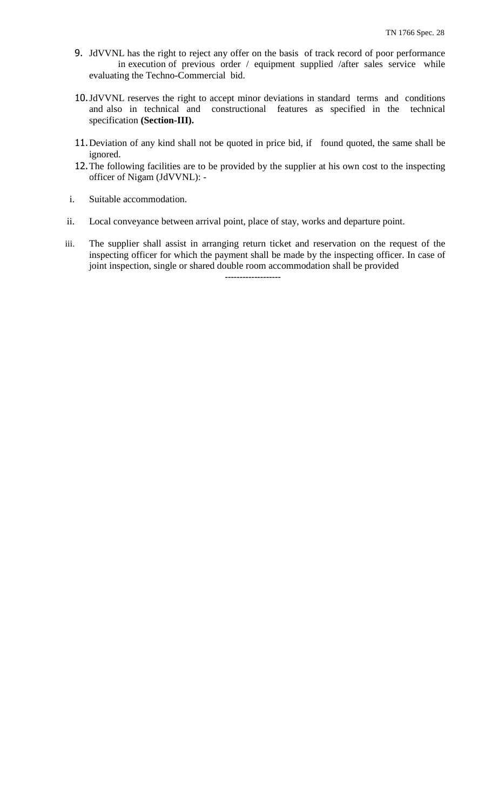- 9. JdVVNL has the right to reject any offer on the basis of track record of poor performance in execution of previous order / equipment supplied /after sales service while evaluating the Techno-Commercial bid.
- 10.JdVVNL reserves the right to accept minor deviations in standard terms and conditions and also in technical and constructional features as specified in the technical specification **(Section-III).**
- 11.Deviation of any kind shall not be quoted in price bid, if found quoted, the same shall be ignored.
- 12.The following facilities are to be provided by the supplier at his own cost to the inspecting officer of Nigam (JdVVNL): -
- i. Suitable accommodation.
- ii. Local conveyance between arrival point, place of stay, works and departure point.
- iii. The supplier shall assist in arranging return ticket and reservation on the request of the inspecting officer for which the payment shall be made by the inspecting officer. In case of joint inspection, single or shared double room accommodation shall be provided **-------------------**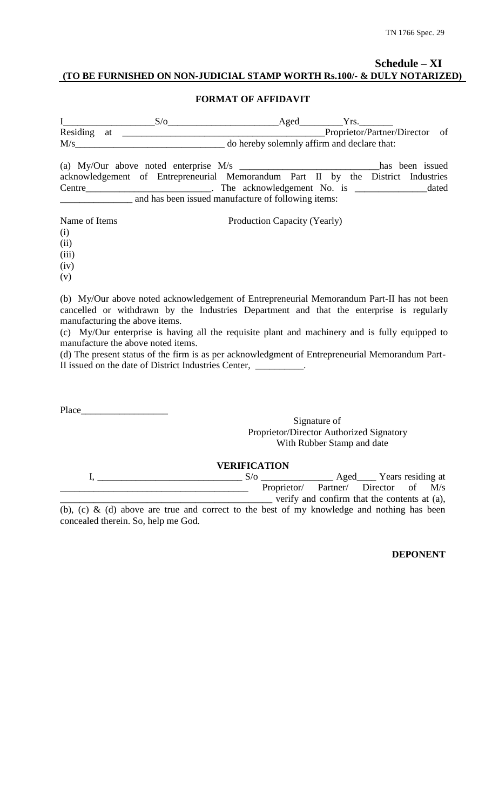# **Schedule – XI (TO BE FURNISHED ON NON-JUDICIAL STAMP WORTH Rs.100/- & DULY NOTARIZED)**

#### **FORMAT OF AFFIDAVIT**

|                | Aged |                                             |  |
|----------------|------|---------------------------------------------|--|
| Residing<br>at |      | Proprietor/Partner/Director of              |  |
| $\rm M/s$      |      | do hereby solemnly affirm and declare that: |  |

(a) My/Our above noted enterprise M/s \_\_\_\_\_\_\_\_\_\_\_\_\_\_\_\_\_\_\_\_\_\_\_\_\_\_\_\_\_has been issued acknowledgement of Entrepreneurial Memorandum Part II by the District Industries Centre\_\_\_\_\_\_\_\_\_\_\_\_\_\_\_\_\_\_\_\_\_\_\_\_\_\_. The acknowledgement No. is \_\_\_\_\_\_\_\_\_\_\_\_\_\_\_dated \_\_\_\_\_\_\_\_\_\_\_\_\_\_\_ and has been issued manufacture of following items:

| Name of Items | Production Capacity (Yearly)                                                              |
|---------------|-------------------------------------------------------------------------------------------|
| (i)           |                                                                                           |
| (ii)          |                                                                                           |
| (iii)         |                                                                                           |
| (iv)          |                                                                                           |
| (v)           |                                                                                           |
|               | (b) My/Our above noted acknowledgement of Entrepreneurial Memorandum Part-II has not been |
|               | cancelled or withdrawn by the Industries Department and that the enterprise is regularly  |

manufacturing the above items. (c) My/Our enterprise is having all the requisite plant and machinery and is fully equipped to manufacture the above noted items.

(d) The present status of the firm is as per acknowledgment of Entrepreneurial Memorandum Part-II issued on the date of District Industries Center, \_\_\_\_\_\_\_\_\_\_.

Place\_\_\_\_\_\_\_\_\_\_\_\_\_\_\_\_\_\_

Signature of Proprietor/Director Authorized Signatory With Rubber Stamp and date

| <b>VERIFICATION</b> |  |                                                                                            |  |                                      |  |                                              |  |  |
|---------------------|--|--------------------------------------------------------------------------------------------|--|--------------------------------------|--|----------------------------------------------|--|--|
|                     |  | $S/\alpha$                                                                                 |  | Aged Years residing at               |  |                                              |  |  |
|                     |  |                                                                                            |  | Proprietor/ Partner/ Director of M/s |  |                                              |  |  |
|                     |  |                                                                                            |  |                                      |  | verify and confirm that the contents at (a), |  |  |
|                     |  | $(h)$ (a) $h$ (d) above are two and compatibo the heat of my travulades and nothing heales |  |                                      |  |                                              |  |  |

(b), (c) & (d) above are true and correct to the best of my knowledge and nothing has been concealed therein. So, help me God.

**DEPONENT**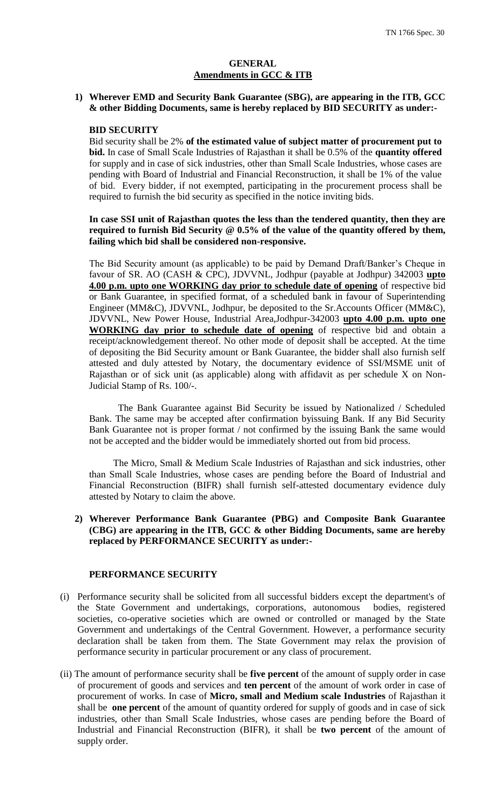#### **GENERAL Amendments in GCC & ITB**

#### **1) Wherever EMD and Security Bank Guarantee (SBG), are appearing in the ITB, GCC & other Bidding Documents, same is hereby replaced by BID SECURITY as under:-**

#### **BID SECURITY**

Bid security shall be 2% **of the estimated value of subject matter of procurement put to bid.** In case of Small Scale Industries of Rajasthan it shall be 0.5% of the **quantity offered** for supply and in case of sick industries, other than Small Scale Industries, whose cases are pending with Board of Industrial and Financial Reconstruction, it shall be 1% of the value of bid. Every bidder, if not exempted, participating in the procurement process shall be required to furnish the bid security as specified in the notice inviting bids.

#### **In case SSI unit of Rajasthan quotes the less than the tendered quantity, then they are required to furnish Bid Security @ 0.5% of the value of the quantity offered by them, failing which bid shall be considered non-responsive.**

The Bid Security amount (as applicable) to be paid by Demand Draft/Banker"s Cheque in favour of SR. AO (CASH & CPC), JDVVNL, Jodhpur (payable at Jodhpur) 342003 **upto 4.00 p.m. upto one WORKING day prior to schedule date of opening** of respective bid or Bank Guarantee, in specified format, of a scheduled bank in favour of Superintending Engineer (MM&C), JDVVNL, Jodhpur, be deposited to the Sr.Accounts Officer (MM&C), JDVVNL, New Power House, Industrial Area,Jodhpur-342003 **upto 4.00 p.m. upto one WORKING day prior to schedule date of opening** of respective bid and obtain a receipt/acknowledgement thereof. No other mode of deposit shall be accepted. At the time of depositing the Bid Security amount or Bank Guarantee, the bidder shall also furnish self attested and duly attested by Notary, the documentary evidence of SSI/MSME unit of Rajasthan or of sick unit (as applicable) along with affidavit as per schedule X on Non-Judicial Stamp of Rs. 100/-.

The Bank Guarantee against Bid Security be issued by Nationalized / Scheduled Bank. The same may be accepted after confirmation byissuing Bank. If any Bid Security Bank Guarantee not is proper format / not confirmed by the issuing Bank the same would not be accepted and the bidder would be immediately shorted out from bid process.

 The Micro, Small & Medium Scale Industries of Rajasthan and sick industries, other than Small Scale Industries, whose cases are pending before the Board of Industrial and Financial Reconstruction (BIFR) shall furnish self-attested documentary evidence duly attested by Notary to claim the above.

### **2) Wherever Performance Bank Guarantee (PBG) and Composite Bank Guarantee (CBG) are appearing in the ITB, GCC & other Bidding Documents, same are hereby replaced by PERFORMANCE SECURITY as under:-**

## **PERFORMANCE SECURITY**

- (i) Performance security shall be solicited from all successful bidders except the department's of the State Government and undertakings, corporations, autonomous bodies, registered societies, co-operative societies which are owned or controlled or managed by the State Government and undertakings of the Central Government. However, a performance security declaration shall be taken from them. The State Government may relax the provision of performance security in particular procurement or any class of procurement.
- (ii) The amount of performance security shall be **five percent** of the amount of supply order in case of procurement of goods and services and **ten percent** of the amount of work order in case of procurement of works. In case of **Micro, small and Medium scale Industries** of Rajasthan it shall be **one percent** of the amount of quantity ordered for supply of goods and in case of sick industries, other than Small Scale Industries, whose cases are pending before the Board of Industrial and Financial Reconstruction (BIFR), it shall be **two percent** of the amount of supply order.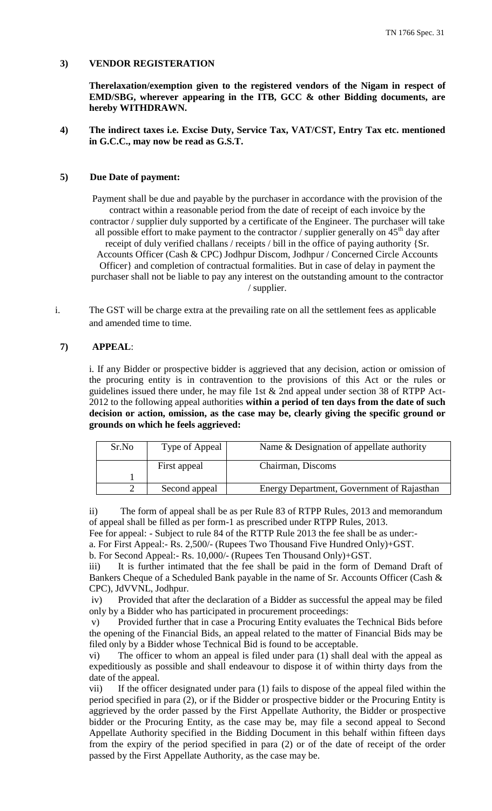## **3) VENDOR REGISTERATION**

**Therelaxation/exemption given to the registered vendors of the Nigam in respect of EMD/SBG, wherever appearing in the ITB, GCC & other Bidding documents, are hereby WITHDRAWN.**

## **4) The indirect taxes i.e. Excise Duty, Service Tax, VAT/CST, Entry Tax etc. mentioned in G.C.C., may now be read as G.S.T.**

#### **5) Due Date of payment:**

Payment shall be due and payable by the purchaser in accordance with the provision of the contract within a reasonable period from the date of receipt of each invoice by the contractor / supplier duly supported by a certificate of the Engineer. The purchaser will take all possible effort to make payment to the contractor / supplier generally on  $45<sup>th</sup>$  day after receipt of duly verified challans / receipts / bill in the office of paying authority {Sr. Accounts Officer (Cash & CPC) Jodhpur Discom, Jodhpur / Concerned Circle Accounts Officer} and completion of contractual formalities. But in case of delay in payment the purchaser shall not be liable to pay any interest on the outstanding amount to the contractor / supplier.

i. The GST will be charge extra at the prevailing rate on all the settlement fees as applicable and amended time to time.

#### **7) APPEAL**:

i. If any Bidder or prospective bidder is aggrieved that any decision, action or omission of the procuring entity is in contravention to the provisions of this Act or the rules or guidelines issued there under, he may file 1st & 2nd appeal under section 38 of RTPP Act-2012 to the following appeal authorities **within a period of ten days from the date of such decision or action, omission, as the case may be, clearly giving the specific ground or grounds on which he feels aggrieved:** 

| Sr.No | Type of Appeal | Name & Designation of appellate authority  |
|-------|----------------|--------------------------------------------|
|       | First appeal   | Chairman, Discoms                          |
|       |                |                                            |
|       | Second appeal  | Energy Department, Government of Rajasthan |

ii) The form of appeal shall be as per Rule 83 of RTPP Rules, 2013 and memorandum of appeal shall be filled as per form-1 as prescribed under RTPP Rules, 2013.

Fee for appeal: - Subject to rule 84 of the RTTP Rule 2013 the fee shall be as under:-

a. For First Appeal:- Rs. 2,500/- (Rupees Two Thousand Five Hundred Only)+GST.

b. For Second Appeal:- Rs. 10,000/- (Rupees Ten Thousand Only)+GST.

iii) It is further intimated that the fee shall be paid in the form of Demand Draft of Bankers Cheque of a Scheduled Bank payable in the name of Sr. Accounts Officer (Cash & CPC), JdVVNL, Jodhpur.

iv) Provided that after the declaration of a Bidder as successful the appeal may be filed only by a Bidder who has participated in procurement proceedings:

v) Provided further that in case a Procuring Entity evaluates the Technical Bids before the opening of the Financial Bids, an appeal related to the matter of Financial Bids may be filed only by a Bidder whose Technical Bid is found to be acceptable.

vi) The officer to whom an appeal is filed under para (1) shall deal with the appeal as expeditiously as possible and shall endeavour to dispose it of within thirty days from the date of the appeal.

vii) If the officer designated under para (1) fails to dispose of the appeal filed within the period specified in para (2), or if the Bidder or prospective bidder or the Procuring Entity is aggrieved by the order passed by the First Appellate Authority, the Bidder or prospective bidder or the Procuring Entity, as the case may be, may file a second appeal to Second Appellate Authority specified in the Bidding Document in this behalf within fifteen days from the expiry of the period specified in para (2) or of the date of receipt of the order passed by the First Appellate Authority, as the case may be.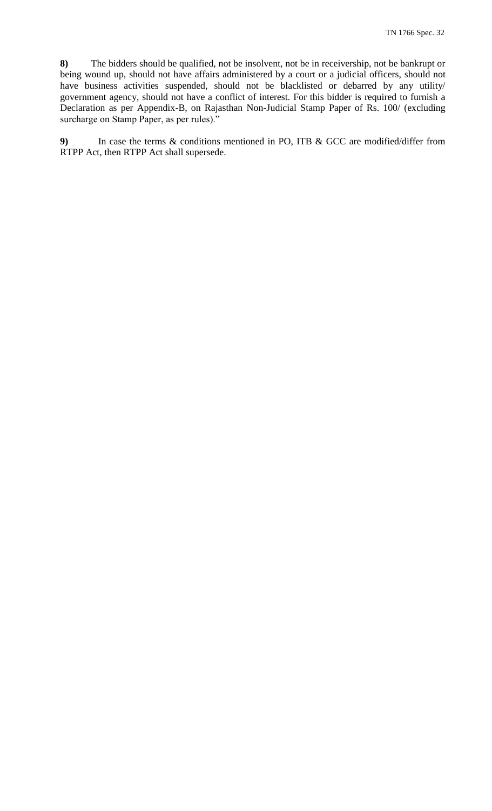**8)** The bidders should be qualified, not be insolvent, not be in receivership, not be bankrupt or being wound up, should not have affairs administered by a court or a judicial officers, should not have business activities suspended, should not be blacklisted or debarred by any utility/ government agency, should not have a conflict of interest. For this bidder is required to furnish a Declaration as per Appendix-B, on Rajasthan Non-Judicial Stamp Paper of Rs. 100/ (excluding surcharge on Stamp Paper, as per rules)."

**9)** In case the terms & conditions mentioned in PO, ITB & GCC are modified/differ from RTPP Act, then RTPP Act shall supersede.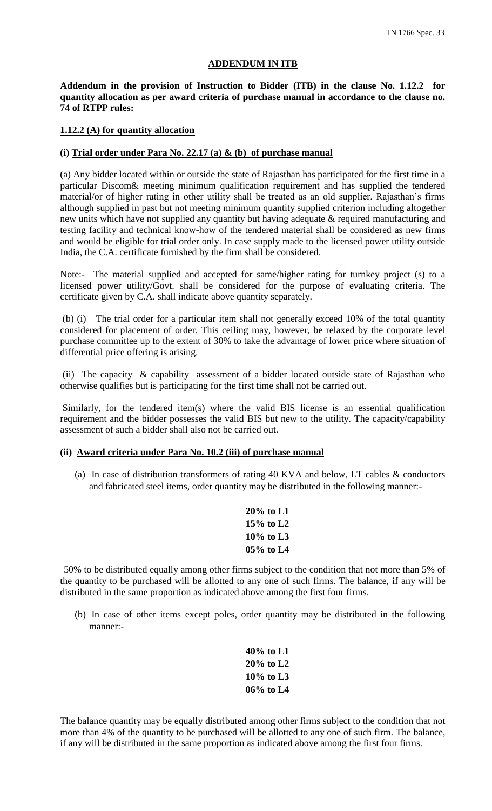#### **ADDENDUM IN ITB**

**Addendum in the provision of Instruction to Bidder (ITB) in the clause No. 1.12.2 for quantity allocation as per award criteria of purchase manual in accordance to the clause no. 74 of RTPP rules:**

#### **1.12.2 (A) for quantity allocation**

#### **(i) Trial order under Para No. 22.17 (a) & (b) of purchase manual**

(a) Any bidder located within or outside the state of Rajasthan has participated for the first time in a particular Discom& meeting minimum qualification requirement and has supplied the tendered material/or of higher rating in other utility shall be treated as an old supplier. Rajasthan"s firms although supplied in past but not meeting minimum quantity supplied criterion including altogether new units which have not supplied any quantity but having adequate & required manufacturing and testing facility and technical know-how of the tendered material shall be considered as new firms and would be eligible for trial order only. In case supply made to the licensed power utility outside India, the C.A. certificate furnished by the firm shall be considered.

Note:- The material supplied and accepted for same/higher rating for turnkey project (s) to a licensed power utility/Govt. shall be considered for the purpose of evaluating criteria. The certificate given by C.A. shall indicate above quantity separately.

(b) (i) The trial order for a particular item shall not generally exceed 10% of the total quantity considered for placement of order. This ceiling may, however, be relaxed by the corporate level purchase committee up to the extent of 30% to take the advantage of lower price where situation of differential price offering is arising.

(ii) The capacity & capability assessment of a bidder located outside state of Rajasthan who otherwise qualifies but is participating for the first time shall not be carried out.

Similarly, for the tendered item(s) where the valid BIS license is an essential qualification requirement and the bidder possesses the valid BIS but new to the utility. The capacity/capability assessment of such a bidder shall also not be carried out.

#### **(ii) Award criteria under Para No. 10.2 (iii) of purchase manual**

(a) In case of distribution transformers of rating 40 KVA and below, LT cables & conductors and fabricated steel items, order quantity may be distributed in the following manner:-

| 20% to L1   |
|-------------|
| $15%$ to L2 |
| 10% to L3   |
| $05%$ to L4 |

50% to be distributed equally among other firms subject to the condition that not more than 5% of the quantity to be purchased will be allotted to any one of such firms. The balance, if any will be distributed in the same proportion as indicated above among the first four firms.

(b) In case of other items except poles, order quantity may be distributed in the following manner:-

| $40\%$ to L1 |
|--------------|
| $20\%$ to L2 |
| $10\%$ to L3 |
| 06% to L4    |

The balance quantity may be equally distributed among other firms subject to the condition that not more than 4% of the quantity to be purchased will be allotted to any one of such firm. The balance, if any will be distributed in the same proportion as indicated above among the first four firms.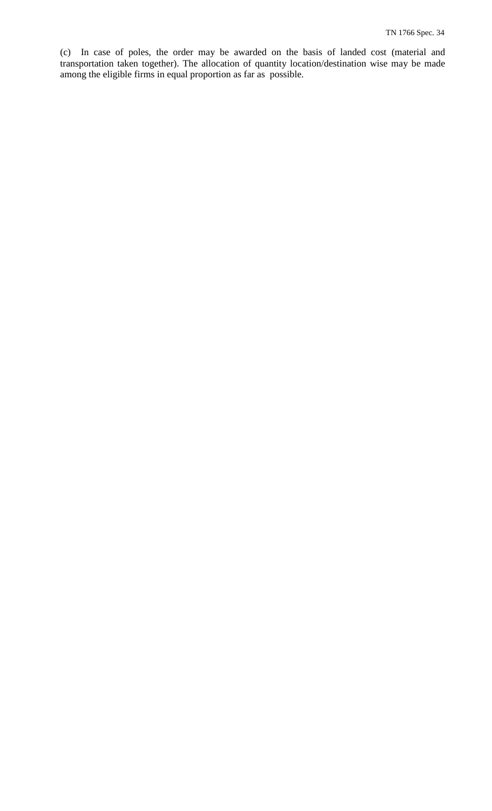(c) In case of poles, the order may be awarded on the basis of landed cost (material and transportation taken together). The allocation of quantity location/destination wise may be made among the eligible firms in equal proportion as far as possible.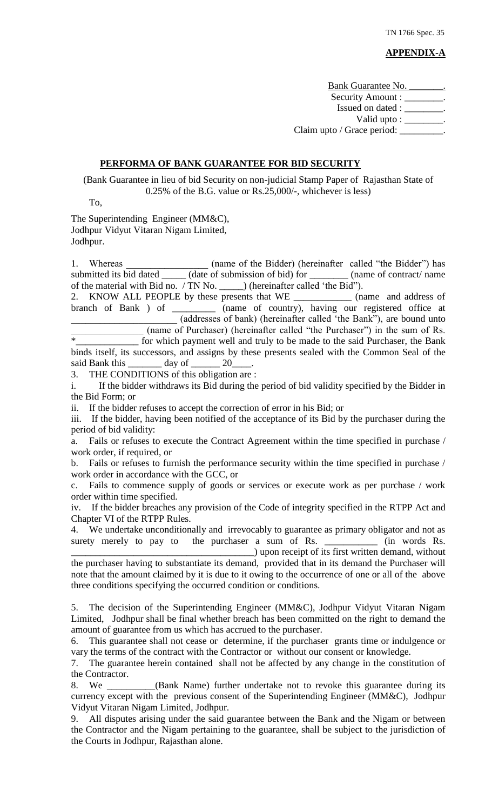# **APPENDIX-A**

Bank Guarantee No. Security Amount : \_\_\_\_\_\_\_ Issued on dated : \_\_\_\_\_\_\_\_. Valid upto : \_\_\_\_\_\_\_\_\_ Claim upto / Grace period:

#### **PERFORMA OF BANK GUARANTEE FOR BID SECURITY**

(Bank Guarantee in lieu of bid Security on non-judicial Stamp Paper of Rajasthan State of 0.25% of the B.G. value or Rs.25,000/-, whichever is less)

To,

The Superintending Engineer (MM&C), Jodhpur Vidyut Vitaran Nigam Limited, Jodhpur.

1. Whereas (name of the Bidder) (hereinafter called "the Bidder") has submitted its bid dated \_\_\_\_\_\_ (date of submission of bid) for \_\_\_\_\_\_\_\_ (name of contract/ name of the material with Bid no. / TN No. \_\_\_\_\_) (hereinafter called "the Bid").

2. KNOW ALL PEOPLE by these presents that WE \_\_\_\_\_\_\_\_\_\_\_\_\_\_ (name and address of branch of Bank ) of \_\_\_\_\_\_\_\_\_\_ (name of country), having our registered office at \_\_\_\_\_\_\_\_\_\_\_\_\_\_\_\_\_\_\_\_\_\_ (addresses of bank) (hereinafter called "the Bank"), are bound unto

(name of Purchaser) (hereinafter called "the Purchaser") in the sum of Rs. \*\_\_\_\_\_\_\_\_\_\_\_\_\_ for which payment well and truly to be made to the said Purchaser, the Bank binds itself, its successors, and assigns by these presents sealed with the Common Seal of the said Bank this \_\_\_\_\_\_\_\_ day of \_\_\_\_\_\_\_ 20\_\_\_\_. said Bank this \_\_\_\_\_\_\_ day of \_\_\_\_\_\_ 20\_\_\_\_.

3. THE CONDITIONS of this obligation are :

i. If the bidder withdraws its Bid during the period of bid validity specified by the Bidder in the Bid Form; or

ii. If the bidder refuses to accept the correction of error in his Bid; or

iii. If the bidder, having been notified of the acceptance of its Bid by the purchaser during the period of bid validity:

a. Fails or refuses to execute the Contract Agreement within the time specified in purchase / work order, if required, or

b. Fails or refuses to furnish the performance security within the time specified in purchase / work order in accordance with the GCC, or

c. Fails to commence supply of goods or services or execute work as per purchase / work order within time specified.

iv. If the bidder breaches any provision of the Code of integrity specified in the RTPP Act and Chapter VI of the RTPP Rules.

4. We undertake unconditionally and irrevocably to guarantee as primary obligator and not as surety merely to pay to the purchaser a sum of Rs. \_\_\_\_\_\_\_\_\_\_\_\_\_ (in words Rs.

\_\_\_\_\_\_\_\_\_\_\_\_\_\_\_\_\_\_\_\_\_\_\_\_\_\_\_\_\_\_\_\_\_\_\_\_\_\_) upon receipt of its first written demand, without the purchaser having to substantiate its demand, provided that in its demand the Purchaser will note that the amount claimed by it is due to it owing to the occurrence of one or all of the above three conditions specifying the occurred condition or conditions.

5. The decision of the Superintending Engineer (MM&C), Jodhpur Vidyut Vitaran Nigam Limited, Jodhpur shall be final whether breach has been committed on the right to demand the amount of guarantee from us which has accrued to the purchaser.

6. This guarantee shall not cease or determine, if the purchaser grants time or indulgence or vary the terms of the contract with the Contractor or without our consent or knowledge.

7. The guarantee herein contained shall not be affected by any change in the constitution of the Contractor.

8. We \_\_\_\_\_\_\_\_\_\_(Bank Name) further undertake not to revoke this guarantee during its currency except with the previous consent of the Superintending Engineer (MM&C), Jodhpur Vidyut Vitaran Nigam Limited, Jodhpur.

9. All disputes arising under the said guarantee between the Bank and the Nigam or between the Contractor and the Nigam pertaining to the guarantee, shall be subject to the jurisdiction of the Courts in Jodhpur, Rajasthan alone.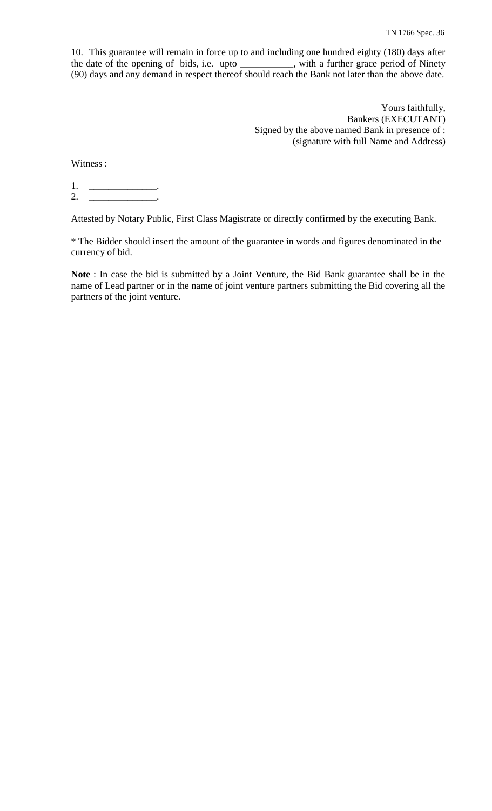10. This guarantee will remain in force up to and including one hundred eighty (180) days after the date of the opening of bids, i.e. upto \_\_\_\_\_\_\_\_\_\_\_, with a further grace period of Ninety (90) days and any demand in respect thereof should reach the Bank not later than the above date.

> Yours faithfully, Bankers (EXECUTANT) Signed by the above named Bank in presence of : (signature with full Name and Address)

Witness :

1. \_\_\_\_\_\_\_\_\_\_\_\_\_\_\_\_\_\_. 2. \_\_\_\_\_\_\_\_\_\_\_\_\_\_\_\_\_\_.

Attested by Notary Public, First Class Magistrate or directly confirmed by the executing Bank.

\* The Bidder should insert the amount of the guarantee in words and figures denominated in the currency of bid.

**Note** : In case the bid is submitted by a Joint Venture, the Bid Bank guarantee shall be in the name of Lead partner or in the name of joint venture partners submitting the Bid covering all the partners of the joint venture.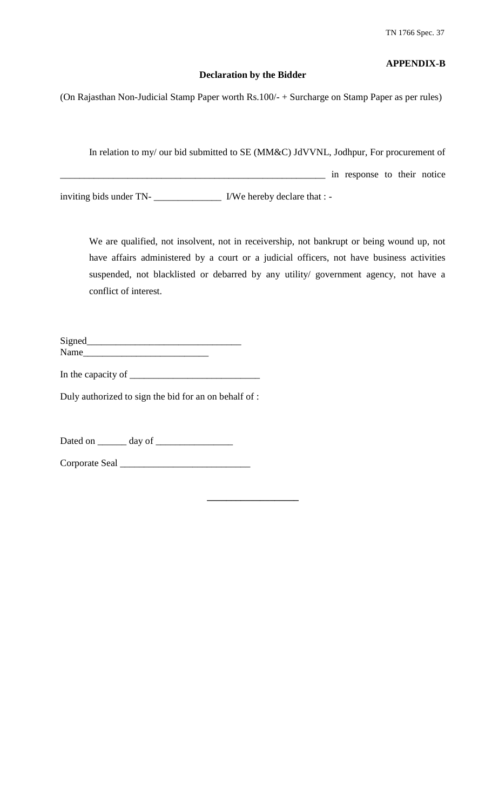# **APPENDIX-B**

# **Declaration by the Bidder**

(On Rajasthan Non-Judicial Stamp Paper worth Rs.100/- + Surcharge on Stamp Paper as per rules)

In relation to my/ our bid submitted to SE (MM&C) JdVVNL, Jodhpur, For procurement of \_\_\_\_\_\_\_\_\_\_\_\_\_\_\_\_\_\_\_\_\_\_\_\_\_\_\_\_\_\_\_\_\_\_\_\_\_\_\_\_\_\_\_\_\_\_\_\_\_\_\_\_\_\_\_ in response to their notice inviting bids under TN- VWe hereby declare that : -

We are qualified, not insolvent, not in receivership, not bankrupt or being wound up, not have affairs administered by a court or a judicial officers, not have business activities suspended, not blacklisted or debarred by any utility/ government agency, not have a conflict of interest.

Signed\_\_\_\_\_\_\_\_\_\_\_\_\_\_\_\_\_\_\_\_\_\_\_\_\_\_\_\_\_\_\_\_ Name\_\_\_\_\_\_\_\_\_\_\_\_\_\_\_\_\_\_\_\_\_\_\_\_\_\_

In the capacity of  $\qquad \qquad$ 

Duly authorized to sign the bid for an on behalf of :

Dated on \_\_\_\_\_\_ day of \_\_\_\_\_\_\_\_\_\_\_\_\_\_\_\_

Corporate Seal \_\_\_\_\_\_\_\_\_\_\_\_\_\_\_\_\_\_\_\_\_\_\_\_\_\_\_

**\_\_\_\_\_\_\_\_\_\_\_\_\_\_\_\_\_\_\_**